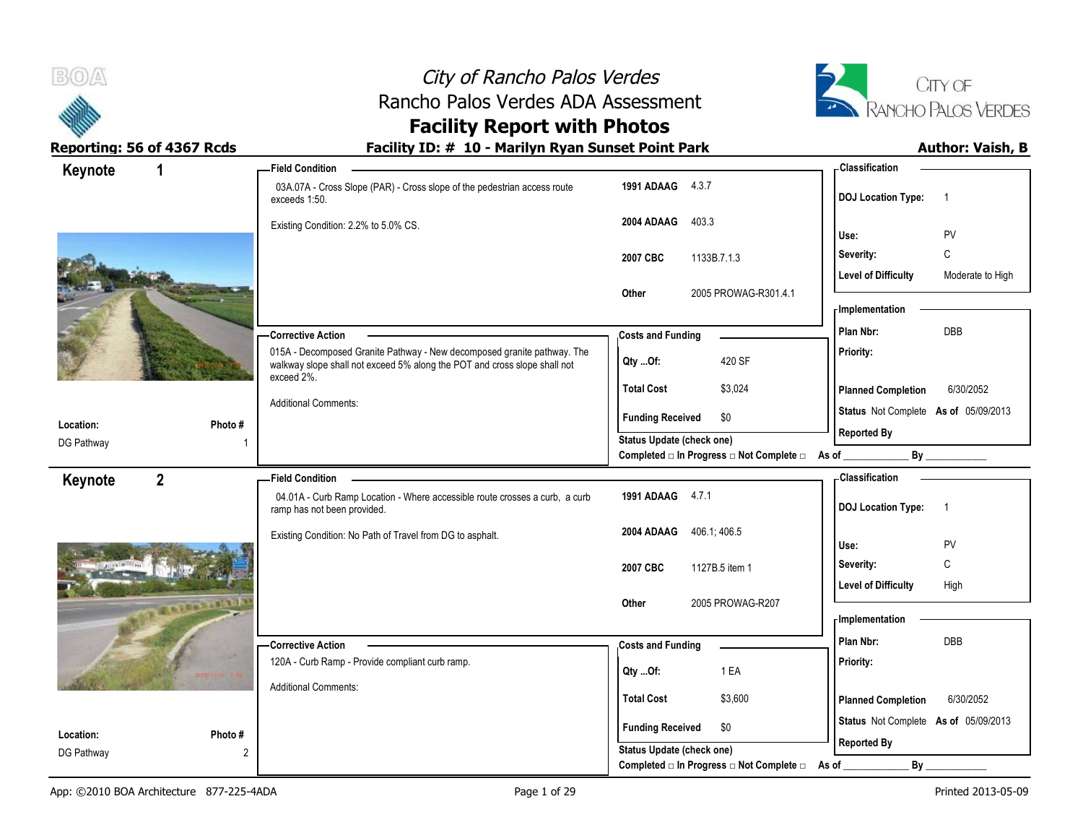



# **Facility Report with Photos**

| Keynote<br>1              |                   | - Field Condition                                                                                                                                                  |                                                                        | <b>Classification</b>                          |
|---------------------------|-------------------|--------------------------------------------------------------------------------------------------------------------------------------------------------------------|------------------------------------------------------------------------|------------------------------------------------|
|                           |                   | 03A.07A - Cross Slope (PAR) - Cross slope of the pedestrian access route<br>exceeds 1:50.                                                                          | 1991 ADAAG 4.3.7                                                       | <b>DOJ</b> Location Type:<br>-1                |
|                           |                   | Existing Condition: 2.2% to 5.0% CS.                                                                                                                               | 2004 ADAAG<br>403.3                                                    | PV<br>Use:                                     |
|                           |                   |                                                                                                                                                                    | 2007 CBC<br>1133B.7.1.3                                                | $\mathsf{C}$<br>Severity:                      |
|                           |                   |                                                                                                                                                                    |                                                                        | <b>Level of Difficulty</b><br>Moderate to High |
|                           |                   |                                                                                                                                                                    | Other<br>2005 PROWAG-R301.4.1                                          | - Implementation                               |
|                           |                   | -Corrective Action                                                                                                                                                 | <b>Costs and Funding</b>                                               | <b>DBB</b><br>Plan Nbr:                        |
|                           |                   | 015A - Decomposed Granite Pathway - New decomposed granite pathway. The<br>walkway slope shall not exceed 5% along the POT and cross slope shall not<br>exceed 2%. | 420 SF<br>Qty Of:                                                      | Priority:                                      |
|                           |                   |                                                                                                                                                                    | <b>Total Cost</b><br>\$3,024                                           | <b>Planned Completion</b><br>6/30/2052         |
|                           |                   | <b>Additional Comments:</b>                                                                                                                                        | <b>Funding Received</b><br>\$0                                         | Status Not Complete As of 05/09/2013           |
| Location:                 | Photo #           |                                                                                                                                                                    | Status Update (check one)                                              | <b>Reported By</b>                             |
| DG Pathway                |                   |                                                                                                                                                                    | Completed $\square$ In Progress $\square$ Not Complete $\square$ As of | By                                             |
| $\overline{2}$<br>Keynote |                   | - Field Condition                                                                                                                                                  |                                                                        | <b>Classification</b>                          |
|                           |                   | 04.01A - Curb Ramp Location - Where accessible route crosses a curb, a curb<br>ramp has not been provided.                                                         | 1991 ADAAG 4.7.1                                                       | <b>DOJ Location Type:</b><br>-1                |
|                           |                   | Existing Condition: No Path of Travel from DG to asphalt.                                                                                                          | 2004 ADAAG 406.1, 406.5                                                |                                                |
|                           |                   |                                                                                                                                                                    |                                                                        | PV<br>Use:<br>C                                |
|                           |                   |                                                                                                                                                                    | 2007 CBC<br>1127B.5 item 1                                             | Severity:                                      |
|                           | <b>DESTRUSION</b> |                                                                                                                                                                    | 2005 PROWAG-R207<br>Other                                              | <b>Level of Difficulty</b><br>High             |
|                           |                   |                                                                                                                                                                    |                                                                        | - Implementation                               |
|                           |                   | - Corrective Action                                                                                                                                                | <b>Costs and Funding</b>                                               | Plan Nbr:<br><b>DBB</b>                        |
|                           |                   | 120A - Curb Ramp - Provide compliant curb ramp.                                                                                                                    |                                                                        | Priority:                                      |
|                           |                   | <b>Additional Comments:</b>                                                                                                                                        | 1 EA<br>Qty Of:                                                        |                                                |
|                           |                   |                                                                                                                                                                    | <b>Total Cost</b><br>\$3,600                                           | <b>Planned Completion</b><br>6/30/2052         |
| Location:                 | Photo#            |                                                                                                                                                                    | <b>Funding Received</b><br>\$0                                         | Status Not Complete As of 05/09/2013           |
| DG Pathway                | 2                 |                                                                                                                                                                    | Status Update (check one)                                              | <b>Reported By</b>                             |
|                           |                   |                                                                                                                                                                    | Completed □ In Progress □ Not Complete □                               | By<br>As of                                    |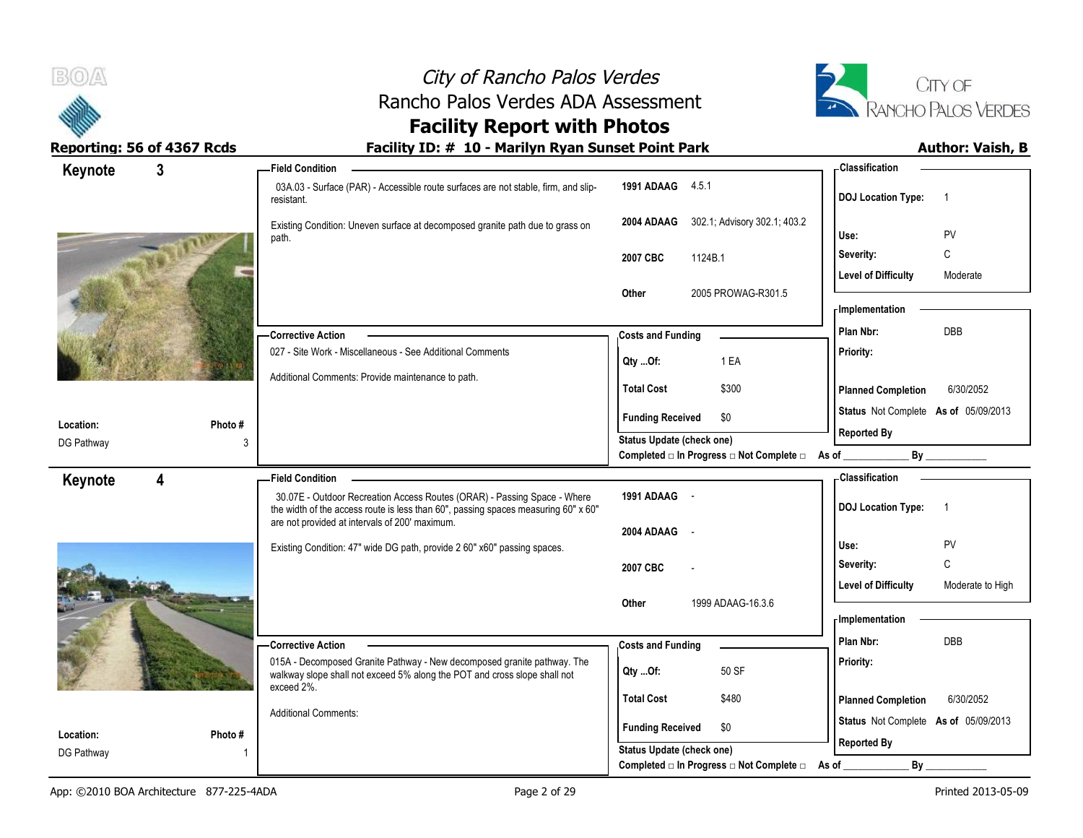



# **Facility Report with Photos**

| Keynote                 | 3       | -Field Condition                                                                                                                                               |                                                             | <b>Classification</b>                          |
|-------------------------|---------|----------------------------------------------------------------------------------------------------------------------------------------------------------------|-------------------------------------------------------------|------------------------------------------------|
|                         |         | 03A.03 - Surface (PAR) - Accessible route surfaces are not stable, firm, and slip-<br>resistant.                                                               | 1991 ADAAG 4.5.1                                            | <b>DOJ</b> Location Type:                      |
|                         |         | Existing Condition: Uneven surface at decomposed granite path due to grass on<br>path.                                                                         | 302.1; Advisory 302.1; 403.2<br>2004 ADAAG                  | PV<br>Use:                                     |
|                         |         |                                                                                                                                                                | 1124B.1<br>2007 CBC                                         | $\mathtt{C}$<br>Severity:                      |
|                         |         |                                                                                                                                                                | Other<br>2005 PROWAG-R301.5                                 | <b>Level of Difficulty</b><br>Moderate         |
|                         |         |                                                                                                                                                                |                                                             | - Implementation                               |
|                         |         | <b>Corrective Action</b>                                                                                                                                       | <b>Costs and Funding</b>                                    | <b>DBB</b><br>Plan Nbr:                        |
|                         |         | 027 - Site Work - Miscellaneous - See Additional Comments                                                                                                      | 1 EA<br>QtyOf:                                              | Priority:                                      |
|                         |         | Additional Comments: Provide maintenance to path.                                                                                                              | \$300<br><b>Total Cost</b>                                  | <b>Planned Completion</b><br>6/30/2052         |
| Location:               | Photo # |                                                                                                                                                                | <b>Funding Received</b><br>\$0                              | Status Not Complete As of 05/09/2013           |
| DG Pathway              | 3       |                                                                                                                                                                | Status Update (check one)                                   | <b>Reported By</b>                             |
|                         |         |                                                                                                                                                                | Completed □ In Progress □ Not Complete □ As of _            | By                                             |
|                         |         |                                                                                                                                                                |                                                             |                                                |
| Keynote                 | 4       | <b>Field Condition</b>                                                                                                                                         |                                                             | - Classification                               |
|                         |         | 30.07E - Outdoor Recreation Access Routes (ORAR) - Passing Space - Where<br>the width of the access route is less than 60", passing spaces measuring 60" x 60" | 1991 ADAAG -                                                | <b>DOJ</b> Location Type:<br>-1                |
|                         |         | are not provided at intervals of 200' maximum.                                                                                                                 | 2004 ADAAG                                                  |                                                |
|                         |         | Existing Condition: 47" wide DG path, provide 2 60" x60" passing spaces.                                                                                       |                                                             | PV<br>Use:                                     |
|                         |         |                                                                                                                                                                | 2007 CBC                                                    | C<br>Severity:                                 |
|                         |         |                                                                                                                                                                | 1999 ADAAG-16.3.6<br>Other                                  | <b>Level of Difficulty</b><br>Moderate to High |
|                         |         |                                                                                                                                                                |                                                             | - Implementation                               |
|                         |         | - Corrective Action                                                                                                                                            | <b>Costs and Funding</b>                                    | Plan Nbr:<br><b>DBB</b>                        |
|                         |         | 015A - Decomposed Granite Pathway - New decomposed granite pathway. The<br>walkway slope shall not exceed 5% along the POT and cross slope shall not           | 50 SF<br>Qty Of:                                            | Priority:                                      |
|                         |         | exceed 2%.                                                                                                                                                     | <b>Total Cost</b><br>\$480                                  | <b>Planned Completion</b><br>6/30/2052         |
|                         |         | <b>Additional Comments:</b>                                                                                                                                    |                                                             | Status Not Complete As of 05/09/2013           |
| Location:<br>DG Pathway | Photo#  |                                                                                                                                                                | <b>Funding Received</b><br>\$0<br>Status Update (check one) | <b>Reported By</b>                             |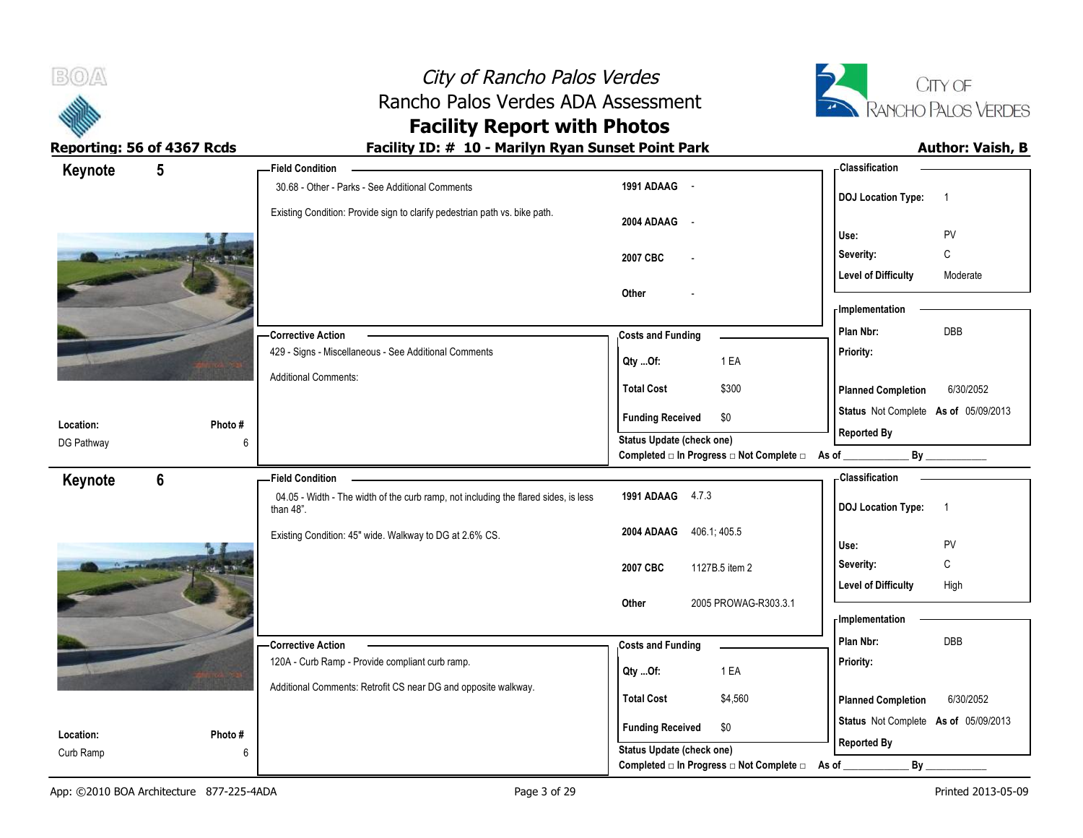

# **Facility Report with Photos**

| Keynote    | $5\phantom{.0}$ | <b>Field Condition</b>                                                                           |                                                  | <b>Classification</b>                       |
|------------|-----------------|--------------------------------------------------------------------------------------------------|--------------------------------------------------|---------------------------------------------|
|            |                 | 30.68 - Other - Parks - See Additional Comments                                                  | 1991 ADAAG -                                     | <b>DOJ</b> Location Type:<br>$\overline{1}$ |
|            |                 | Existing Condition: Provide sign to clarify pedestrian path vs. bike path.                       | 2004 ADAAG -                                     | Use:<br>PV                                  |
|            |                 |                                                                                                  |                                                  | Severity:<br>C                              |
|            |                 |                                                                                                  | 2007 CBC<br>$\overline{a}$                       |                                             |
|            |                 |                                                                                                  |                                                  | <b>Level of Difficulty</b><br>Moderate      |
|            |                 |                                                                                                  | Other                                            | - Implementation                            |
|            |                 | Corrective Action                                                                                | <b>Costs and Funding</b>                         | <b>DBB</b><br>Plan Nbr:                     |
|            |                 | 429 - Signs - Miscellaneous - See Additional Comments                                            | 1 EA<br>Qty Of:                                  | Priority:                                   |
|            |                 | <b>Additional Comments:</b>                                                                      | <b>Total Cost</b><br>\$300                       | 6/30/2052<br><b>Planned Completion</b>      |
|            |                 |                                                                                                  | <b>Funding Received</b><br>\$0                   | Status Not Complete As of 05/09/2013        |
| Location:  | Photo#          |                                                                                                  | Status Update (check one)                        | <b>Reported By</b>                          |
| DG Pathway |                 | 6                                                                                                | Completed □ In Progress □ Not Complete □ As of _ | By                                          |
| Keynote    | $6\phantom{a}$  | <b>Field Condition</b>                                                                           |                                                  | <b>Classification</b>                       |
|            |                 | 04.05 - Width - The width of the curb ramp, not including the flared sides, is less<br>than 48". | 1991 ADAAG 4.7.3                                 | <b>DOJ</b> Location Type:<br>$\overline{1}$ |
|            |                 | Existing Condition: 45" wide. Walkway to DG at 2.6% CS.                                          | 2004 ADAAG 406.1, 405.5                          | PV<br>Use:                                  |
|            |                 |                                                                                                  | 2007 CBC<br>1127B.5 item 2                       | C<br>Severity:                              |
|            |                 |                                                                                                  |                                                  | <b>Level of Difficulty</b><br>High          |
|            |                 |                                                                                                  | Other<br>2005 PROWAG-R303.3.1                    | - Implementation                            |
|            |                 |                                                                                                  |                                                  | Plan Nbr:<br><b>DBB</b>                     |
|            |                 | -Corrective Action<br>120A - Curb Ramp - Provide compliant curb ramp.                            | <b>Costs and Funding</b>                         | Priority:                                   |
|            |                 |                                                                                                  | 1 EA<br>Qty Of:                                  |                                             |
|            |                 | Additional Comments: Retrofit CS near DG and opposite walkway.                                   | <b>Total Cost</b><br>\$4,560                     | 6/30/2052<br><b>Planned Completion</b>      |
| Location:  | Photo#          |                                                                                                  | \$0<br><b>Funding Received</b>                   | Status Not Complete As of 05/09/2013        |
| Curb Ramp  |                 | 6                                                                                                | Status Update (check one)                        | <b>Reported By</b>                          |
|            |                 |                                                                                                  | Completed □ In Progress □ Not Complete □         | As of<br>$By$ <sub>—</sub>                  |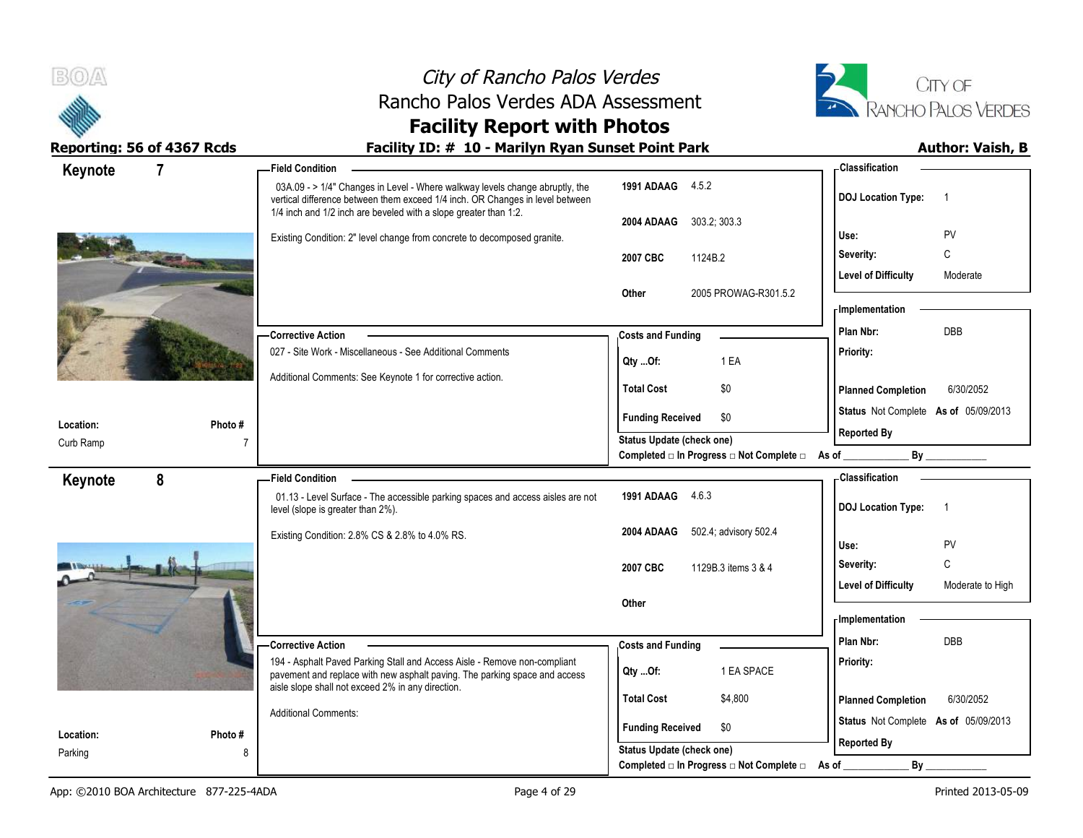



# **Facility Report with Photos**

| Keynote                | $\overline{7}$ | - Field Condition                                                                                                                                             |                                                             | <b>Classification</b>                               |
|------------------------|----------------|---------------------------------------------------------------------------------------------------------------------------------------------------------------|-------------------------------------------------------------|-----------------------------------------------------|
|                        |                | 03A.09 - > 1/4" Changes in Level - Where walkway levels change abruptly, the<br>vertical difference between them exceed 1/4 inch. OR Changes in level between | 1991 ADAAG 4.5.2                                            | <b>DOJ Location Type:</b><br>$\overline{1}$         |
|                        |                | 1/4 inch and 1/2 inch are beveled with a slope greater than 1:2.                                                                                              | 303.2; 303.3<br>2004 ADAAG                                  |                                                     |
|                        |                | Existing Condition: 2" level change from concrete to decomposed granite.                                                                                      |                                                             | <b>PV</b><br>Use:                                   |
|                        |                |                                                                                                                                                               | 2007 CBC<br>1124B.2                                         | C<br>Severity:                                      |
|                        |                |                                                                                                                                                               | 2005 PROWAG-R301.5.2<br>Other                               | <b>Level of Difficulty</b><br>Moderate              |
|                        |                |                                                                                                                                                               |                                                             | - Implementation                                    |
|                        |                | <b>Corrective Action</b>                                                                                                                                      | <b>Costs and Funding</b>                                    | <b>DBB</b><br>Plan Nbr:                             |
|                        |                | 027 - Site Work - Miscellaneous - See Additional Comments                                                                                                     |                                                             | Priority:                                           |
|                        |                | Additional Comments: See Keynote 1 for corrective action.                                                                                                     | 1 EA<br>Qty Of:                                             |                                                     |
|                        |                |                                                                                                                                                               | \$0<br><b>Total Cost</b>                                    | <b>Planned Completion</b><br>6/30/2052              |
|                        |                |                                                                                                                                                               | <b>Funding Received</b><br>\$0                              | Status Not Complete As of 05/09/2013                |
| Location:<br>Curb Ramp | Photo#         |                                                                                                                                                               | Status Update (check one)                                   | <b>Reported By</b>                                  |
|                        |                |                                                                                                                                                               | Completed □ In Progress □ Not Complete □ As of              |                                                     |
|                        |                |                                                                                                                                                               |                                                             |                                                     |
|                        | 8              | <b>Field Condition</b>                                                                                                                                        |                                                             | <b>Classification</b>                               |
| Keynote                |                | 01.13 - Level Surface - The accessible parking spaces and access aisles are not<br>level (slope is greater than 2%).                                          | 1991 ADAAG 4.6.3                                            | <b>DOJ</b> Location Type:<br>$\overline{1}$         |
|                        |                | Existing Condition: 2.8% CS & 2.8% to 4.0% RS.                                                                                                                | 502.4; advisory 502.4<br>2004 ADAAG                         |                                                     |
|                        |                |                                                                                                                                                               |                                                             | <b>PV</b><br>Use:<br>Severity:                      |
|                        |                |                                                                                                                                                               | 2007 CBC<br>1129B.3 items 3 & 4                             | C<br><b>Level of Difficulty</b><br>Moderate to High |
|                        |                |                                                                                                                                                               | Other                                                       |                                                     |
|                        |                |                                                                                                                                                               |                                                             | <b>Implementation</b>                               |
|                        |                | <b>Corrective Action</b>                                                                                                                                      | <b>Costs and Funding</b>                                    | Plan Nbr:<br>DBB                                    |
|                        |                | 194 - Asphalt Paved Parking Stall and Access Aisle - Remove non-compliant<br>pavement and replace with new asphalt paving. The parking space and access       | 1 EA SPACE<br>Qty Of:                                       | Priority:                                           |
|                        |                | aisle slope shall not exceed 2% in any direction.                                                                                                             | <b>Total Cost</b><br>\$4,800                                | <b>Planned Completion</b><br>6/30/2052              |
|                        |                | <b>Additional Comments:</b>                                                                                                                                   |                                                             | Status Not Complete As of 05/09/2013                |
| Location:<br>Parking   | Photo #<br>8   |                                                                                                                                                               | <b>Funding Received</b><br>\$0<br>Status Update (check one) | <b>Reported By</b>                                  |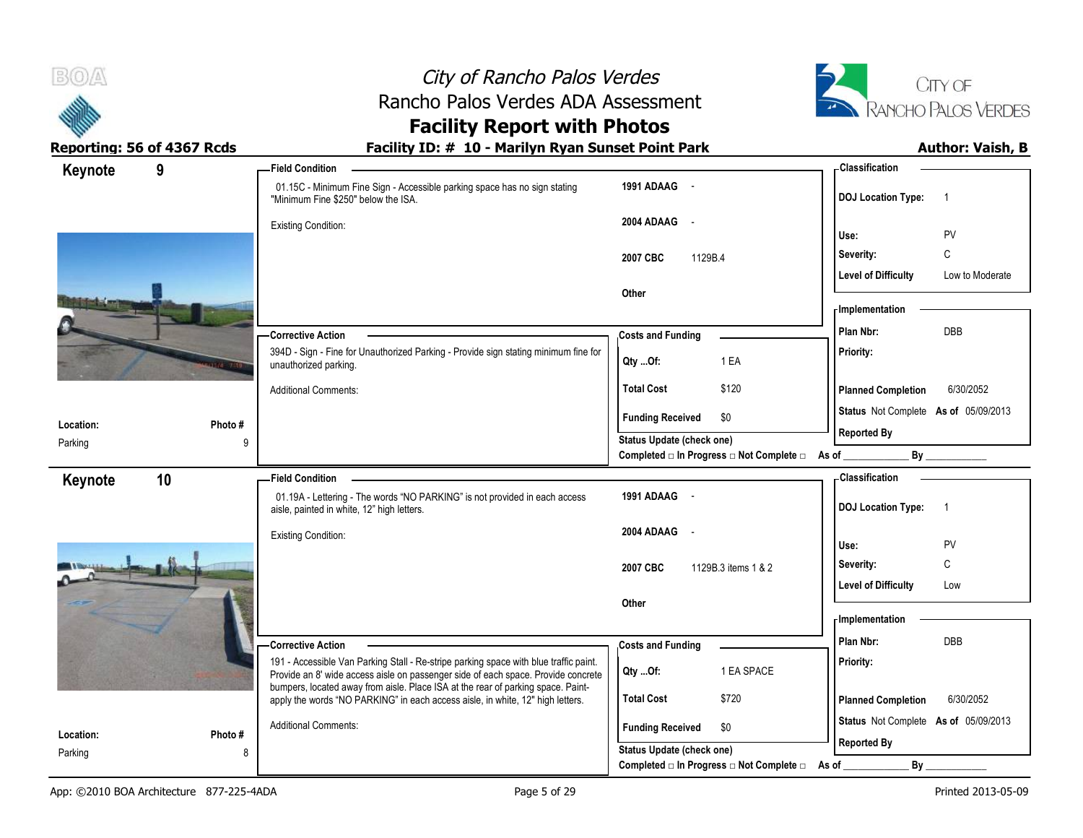



# **Facility Report with Photos**

| 9<br>Keynote  |         | - Field Condition                                                                                                                                                                                                                                              |                                  |                                                | - Classification                     |                 |
|---------------|---------|----------------------------------------------------------------------------------------------------------------------------------------------------------------------------------------------------------------------------------------------------------------|----------------------------------|------------------------------------------------|--------------------------------------|-----------------|
|               |         | 01.15C - Minimum Fine Sign - Accessible parking space has no sign stating<br>"Minimum Fine \$250" below the ISA.                                                                                                                                               | 1991 ADAAG -                     |                                                | <b>DOJ</b> Location Type:            | $\overline{1}$  |
|               |         | <b>Existing Condition:</b>                                                                                                                                                                                                                                     | 2004 ADAAG -                     |                                                | Use:                                 | PV              |
|               |         |                                                                                                                                                                                                                                                                | 2007 CBC<br>1129B.4              |                                                | Severity:                            | C               |
|               |         |                                                                                                                                                                                                                                                                |                                  |                                                | <b>Level of Difficulty</b>           | Low to Moderate |
|               |         |                                                                                                                                                                                                                                                                | Other                            |                                                |                                      |                 |
|               |         |                                                                                                                                                                                                                                                                |                                  |                                                | - Implementation                     |                 |
|               |         | -Corrective Action                                                                                                                                                                                                                                             | <b>Costs and Funding</b>         |                                                | Plan Nbr:                            | DBB             |
|               |         | 394D - Sign - Fine for Unauthorized Parking - Provide sign stating minimum fine for<br>unauthorized parking.                                                                                                                                                   | Qty Of:                          | 1 EA                                           | Priority:                            |                 |
|               |         | <b>Additional Comments:</b>                                                                                                                                                                                                                                    | <b>Total Cost</b>                | \$120                                          | <b>Planned Completion</b>            | 6/30/2052       |
| Location:     | Photo # |                                                                                                                                                                                                                                                                | <b>Funding Received</b>          | \$0                                            | Status Not Complete As of 05/09/2013 |                 |
| Parking       | 9       |                                                                                                                                                                                                                                                                | Status Update (check one)        |                                                | <b>Reported By</b>                   |                 |
|               |         |                                                                                                                                                                                                                                                                |                                  | Completed □ In Progress □ Not Complete □ As of |                                      | By              |
| 10<br>Keynote |         | - Field Condition                                                                                                                                                                                                                                              |                                  |                                                | Classification                       |                 |
|               |         | 01.19A - Lettering - The words "NO PARKING" is not provided in each access<br>aisle, painted in white, 12" high letters.                                                                                                                                       | 1991 ADAAG -                     |                                                | <b>DOJ Location Type:</b>            | $\overline{1}$  |
|               |         | <b>Existing Condition:</b>                                                                                                                                                                                                                                     | 2004 ADAAG -                     |                                                | Use:                                 | PV              |
|               |         |                                                                                                                                                                                                                                                                | 2007 CBC                         | 1129B.3 items 1 & 2                            | Severity:                            | C               |
|               |         |                                                                                                                                                                                                                                                                |                                  |                                                | <b>Level of Difficulty</b>           | Low             |
|               |         |                                                                                                                                                                                                                                                                | Other                            |                                                |                                      |                 |
|               |         |                                                                                                                                                                                                                                                                |                                  |                                                | - Implementation                     |                 |
|               |         | <b>Corrective Action</b>                                                                                                                                                                                                                                       | <b>Costs and Funding</b>         |                                                | Plan Nbr:                            | <b>DBB</b>      |
|               |         | 191 - Accessible Van Parking Stall - Re-stripe parking space with blue traffic paint.<br>Provide an 8' wide access aisle on passenger side of each space. Provide concrete<br>bumpers, located away from aisle. Place ISA at the rear of parking space. Paint- | Qty Of:                          | 1 EA SPACE                                     | Priority:                            |                 |
|               |         | apply the words "NO PARKING" in each access aisle, in white, 12" high letters.                                                                                                                                                                                 | <b>Total Cost</b>                | \$720                                          | <b>Planned Completion</b>            | 6/30/2052       |
|               |         |                                                                                                                                                                                                                                                                |                                  |                                                |                                      |                 |
| Location:     | Photo # | <b>Additional Comments:</b>                                                                                                                                                                                                                                    | <b>Funding Received</b>          | \$0                                            | Status Not Complete As of 05/09/2013 |                 |
| Parking       | 8       |                                                                                                                                                                                                                                                                | <b>Status Update (check one)</b> | Completed □ In Progress □ Not Complete □ As of | <b>Reported By</b><br>$By_$          |                 |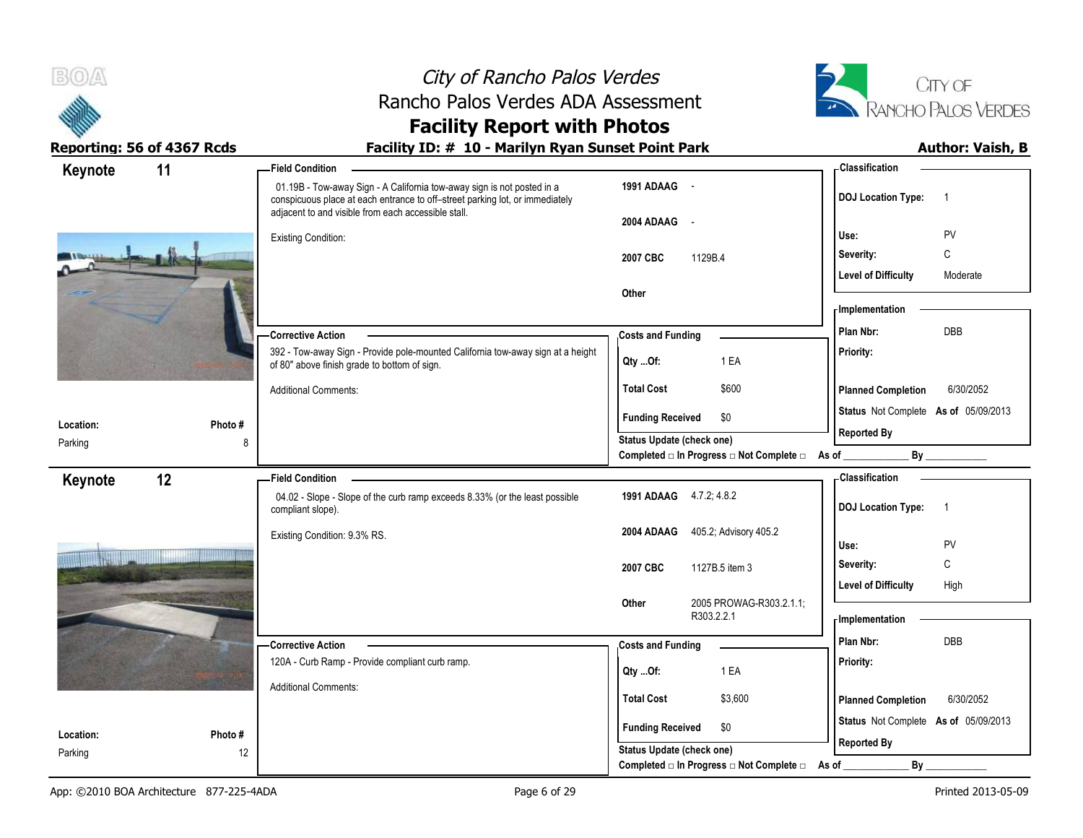



# **Facility Report with Photos**

| Keynote   | 11     | <b>Field Condition</b>                                                                                                                                                                                        |                                                                 | <b>Classification</b>                                                                                                                                                                                                          |
|-----------|--------|---------------------------------------------------------------------------------------------------------------------------------------------------------------------------------------------------------------|-----------------------------------------------------------------|--------------------------------------------------------------------------------------------------------------------------------------------------------------------------------------------------------------------------------|
|           |        | 01.19B - Tow-away Sign - A California tow-away sign is not posted in a<br>conspicuous place at each entrance to off-street parking lot, or immediately<br>adjacent to and visible from each accessible stall. | 1991 ADAAG -                                                    | <b>DOJ Location Type:</b><br>$\overline{1}$                                                                                                                                                                                    |
|           |        |                                                                                                                                                                                                               | 2004 ADAAG -                                                    |                                                                                                                                                                                                                                |
|           |        | <b>Existing Condition:</b>                                                                                                                                                                                    |                                                                 | PV<br>Use:                                                                                                                                                                                                                     |
|           |        |                                                                                                                                                                                                               | 1129B.4<br>2007 CBC                                             | C<br>Severity:                                                                                                                                                                                                                 |
|           |        |                                                                                                                                                                                                               |                                                                 | <b>Level of Difficulty</b><br>Moderate                                                                                                                                                                                         |
|           |        |                                                                                                                                                                                                               | Other                                                           | - Implementation                                                                                                                                                                                                               |
|           |        | <b>Corrective Action</b>                                                                                                                                                                                      | <b>Costs and Funding</b>                                        | DBB<br>Plan Nbr:                                                                                                                                                                                                               |
|           |        | 392 - Tow-away Sign - Provide pole-mounted California tow-away sign at a height<br>of 80" above finish grade to bottom of sign.                                                                               | 1 EA<br>Qty Of:                                                 | Priority:                                                                                                                                                                                                                      |
|           |        | <b>Additional Comments:</b>                                                                                                                                                                                   | <b>Total Cost</b><br>\$600                                      | 6/30/2052<br><b>Planned Completion</b>                                                                                                                                                                                         |
|           |        |                                                                                                                                                                                                               | <b>Funding Received</b><br>\$0                                  | Status Not Complete As of 05/09/2013                                                                                                                                                                                           |
| Location: | Photo# |                                                                                                                                                                                                               | <b>Status Update (check one)</b>                                | <b>Reported By</b>                                                                                                                                                                                                             |
| Parking   | 8      |                                                                                                                                                                                                               | Completed $\Box$ In Progress $\Box$ Not Complete $\Box$ As of _ | By the contract of the contract of the contract of the contract of the contract of the contract of the contract of the contract of the contract of the contract of the contract of the contract of the contract of the contrac |
| Keynote   | 12     | <b>Field Condition</b>                                                                                                                                                                                        |                                                                 | - Classification                                                                                                                                                                                                               |
|           |        | 04.02 - Slope - Slope of the curb ramp exceeds 8.33% (or the least possible<br>compliant slope).                                                                                                              | 1991 ADAAG 4.7.2, 4.8.2                                         | <b>DOJ Location Type:</b><br>$\overline{1}$                                                                                                                                                                                    |
|           |        | Existing Condition: 9.3% RS.                                                                                                                                                                                  | 405.2; Advisory 405.2<br>2004 ADAAG                             |                                                                                                                                                                                                                                |
|           |        |                                                                                                                                                                                                               |                                                                 | PV<br>Use:                                                                                                                                                                                                                     |
|           |        |                                                                                                                                                                                                               | 2007 CBC<br>1127B.5 item 3                                      | C<br>Severity:                                                                                                                                                                                                                 |
|           |        |                                                                                                                                                                                                               |                                                                 | <b>Level of Difficulty</b><br>High                                                                                                                                                                                             |
|           |        |                                                                                                                                                                                                               | 2005 PROWAG-R303.2.1.1;<br>Other<br>R303.2.2.1                  | - Implementation                                                                                                                                                                                                               |
|           |        | - Corrective Action                                                                                                                                                                                           | <b>Costs and Funding</b>                                        | Plan Nbr:<br><b>DBB</b>                                                                                                                                                                                                        |
|           |        | 120A - Curb Ramp - Provide compliant curb ramp.                                                                                                                                                               |                                                                 | Priority:                                                                                                                                                                                                                      |
|           |        |                                                                                                                                                                                                               | 1 EA<br>Qty Of:                                                 |                                                                                                                                                                                                                                |
|           |        | <b>Additional Comments:</b>                                                                                                                                                                                   | <b>Total Cost</b><br>\$3,600                                    | 6/30/2052<br><b>Planned Completion</b>                                                                                                                                                                                         |
| Location: | Photo# |                                                                                                                                                                                                               | <b>Funding Received</b><br>\$0                                  | Status Not Complete As of 05/09/2013                                                                                                                                                                                           |
| Parking   | 12     |                                                                                                                                                                                                               | Status Update (check one)                                       | <b>Reported By</b>                                                                                                                                                                                                             |
|           |        |                                                                                                                                                                                                               | Completed □ In Progress □ Not Complete □                        | By<br>As of                                                                                                                                                                                                                    |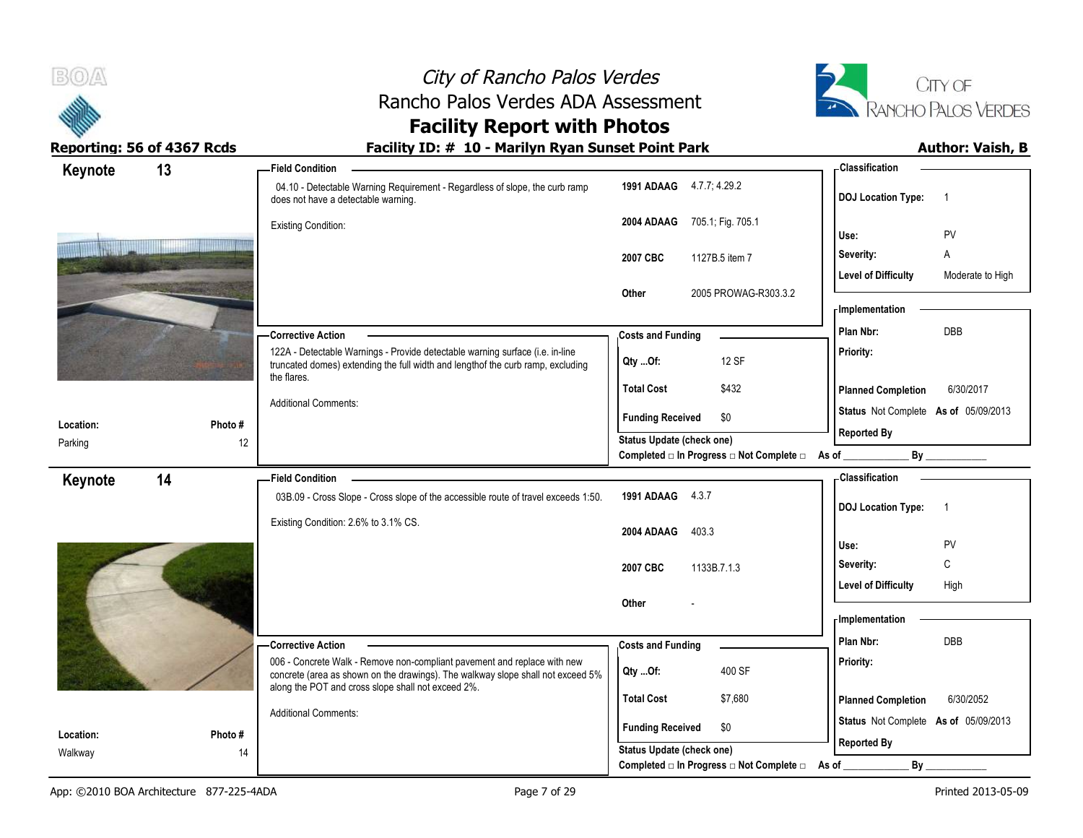



# **Facility Report with Photos**

| Keynote              | 13            | <b>Field Condition</b>                                                                                                                                      |                                                                    | <b>Classification</b>                          |
|----------------------|---------------|-------------------------------------------------------------------------------------------------------------------------------------------------------------|--------------------------------------------------------------------|------------------------------------------------|
|                      |               | 04.10 - Detectable Warning Requirement - Regardless of slope, the curb ramp<br>does not have a detectable warning.                                          | 1991 ADAAG 4.7.7; 4.29.2                                           | <b>DOJ</b> Location Type:<br>$\overline{1}$    |
|                      |               | <b>Existing Condition:</b>                                                                                                                                  | 705.1; Fig. 705.1<br>2004 ADAAG                                    |                                                |
|                      |               |                                                                                                                                                             |                                                                    | PV<br>Use:                                     |
|                      |               |                                                                                                                                                             | 2007 CBC<br>1127B.5 item 7                                         | A<br>Severity:                                 |
|                      |               |                                                                                                                                                             | 2005 PROWAG-R303.3.2<br>Other                                      | <b>Level of Difficulty</b><br>Moderate to High |
|                      |               |                                                                                                                                                             |                                                                    | <b>Implementation</b>                          |
|                      |               | <b>Corrective Action</b>                                                                                                                                    | <b>Costs and Funding</b>                                           | <b>DBB</b><br>Plan Nbr:                        |
|                      |               | 122A - Detectable Warnings - Provide detectable warning surface (i.e. in-line                                                                               |                                                                    | Priority:                                      |
|                      |               | truncated domes) extending the full width and lengthof the curb ramp, excluding<br>the flares.                                                              | 12 SF<br>Qty Of:                                                   |                                                |
|                      |               |                                                                                                                                                             | <b>Total Cost</b><br>\$432                                         | <b>Planned Completion</b><br>6/30/2017         |
|                      |               | <b>Additional Comments:</b>                                                                                                                                 | <b>Funding Received</b><br>\$0                                     | Status Not Complete As of 05/09/2013           |
| Location:<br>Parking | Photo #<br>12 |                                                                                                                                                             | Status Update (check one)                                          | <b>Reported By</b>                             |
|                      |               |                                                                                                                                                             | Completed □ In Progress □ Not Complete □ As of                     | By                                             |
| Keynote              | 14            | <b>Field Condition</b>                                                                                                                                      |                                                                    | <b>Classification</b>                          |
|                      |               | 03B.09 - Cross Slope - Cross slope of the accessible route of travel exceeds 1:50.                                                                          | 1991 ADAAG 4.3.7                                                   | <b>DOJ</b> Location Type:<br>$\overline{1}$    |
|                      |               | Existing Condition: 2.6% to 3.1% CS.                                                                                                                        |                                                                    |                                                |
|                      |               |                                                                                                                                                             | 403.3<br>2004 ADAAG                                                |                                                |
|                      |               |                                                                                                                                                             |                                                                    | PV<br>Use:                                     |
|                      |               |                                                                                                                                                             | 1133B.7.1.3<br>2007 CBC                                            | C<br>Severity:                                 |
|                      |               |                                                                                                                                                             |                                                                    | <b>Level of Difficulty</b><br>High             |
|                      |               |                                                                                                                                                             | Other                                                              |                                                |
|                      |               |                                                                                                                                                             |                                                                    | - Implementation                               |
|                      |               | -Corrective Action                                                                                                                                          | <b>Costs and Funding</b>                                           | Plan Nbr:<br>DBB                               |
|                      |               | 006 - Concrete Walk - Remove non-compliant pavement and replace with new<br>concrete (area as shown on the drawings). The walkway slope shall not exceed 5% | 400 SF<br>Qty Of:                                                  | Priority:                                      |
|                      |               | along the POT and cross slope shall not exceed 2%.                                                                                                          | <b>Total Cost</b><br>\$7,680                                       | <b>Planned Completion</b><br>6/30/2052         |
|                      |               | <b>Additional Comments:</b>                                                                                                                                 |                                                                    | Status Not Complete As of 05/09/2013           |
| Location:<br>Walkway | Photo #<br>14 |                                                                                                                                                             | <b>Funding Received</b><br>\$0<br><b>Status Update (check one)</b> | <b>Reported By</b>                             |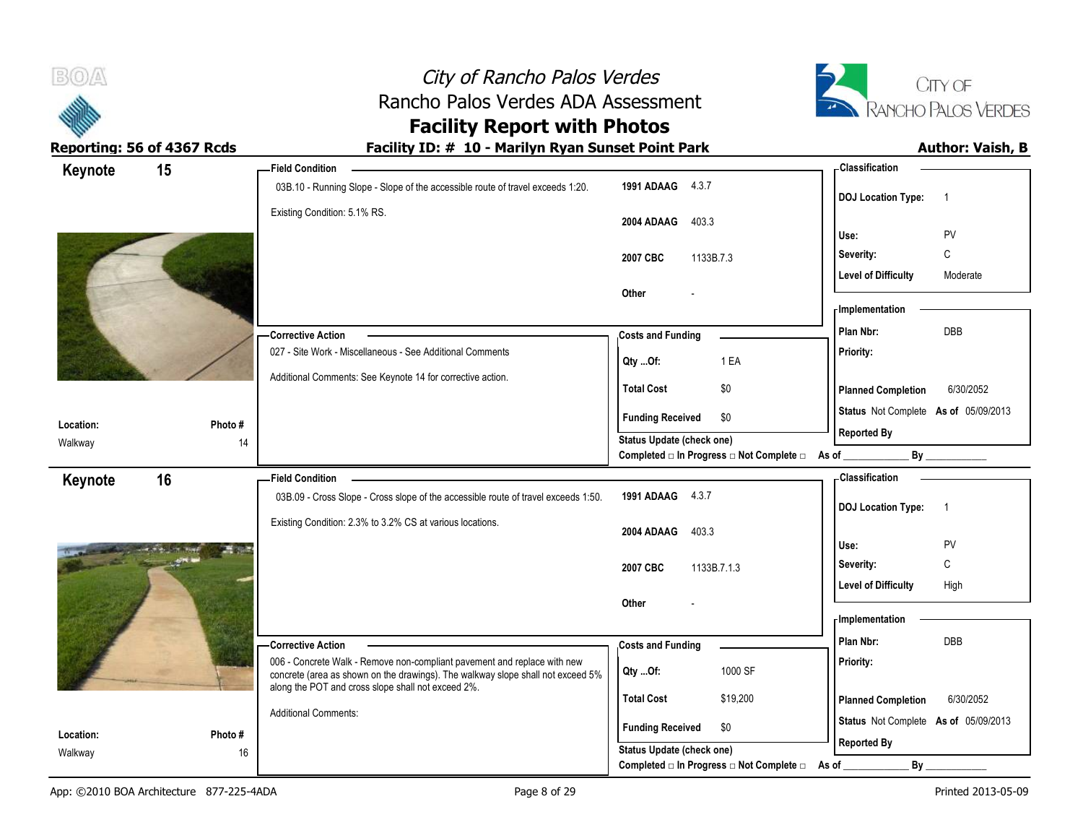| B(0)<br>Reporting: 56 of 4367 Rcds | City of Rancho Palos Verdes<br>Rancho Palos Verdes ADA Assessment<br><b>Facility Report with Photos</b><br>Facility ID: # 10 - Marilyn Ryan Sunset Point Park                           |                                                                                                            |                                                                   | CITY OF<br>RANCHO PALOS VERDES<br><b>Author: Vaish, B</b> |
|------------------------------------|-----------------------------------------------------------------------------------------------------------------------------------------------------------------------------------------|------------------------------------------------------------------------------------------------------------|-------------------------------------------------------------------|-----------------------------------------------------------|
|                                    | <b>Field Condition</b>                                                                                                                                                                  |                                                                                                            | <b>Classification</b>                                             |                                                           |
| 15<br>Keynote                      | 03B.10 - Running Slope - Slope of the accessible route of travel exceeds 1:20.<br>Existing Condition: 5.1% RS.                                                                          | 1991 ADAAG 4.3.7<br>2004 ADAAG 403.3                                                                       | <b>DOJ Location Type:</b><br>Use:                                 | $\overline{\phantom{0}}$<br>PV                            |
|                                    |                                                                                                                                                                                         | 2007 CBC<br>1133B.7.3                                                                                      | Severity:<br>Level of Difficulty                                  | $\mathsf{C}$<br>Moderate                                  |
|                                    | - Corrective Action                                                                                                                                                                     | Other                                                                                                      | - Implementation<br>Plan Nbr:                                     | DBB                                                       |
|                                    | 027 - Site Work - Miscellaneous - See Additional Comments<br>Additional Comments: See Keynote 14 for corrective action.                                                                 | <b>Costs and Funding</b><br>1 EA<br>Qty Of:                                                                | Priority:                                                         |                                                           |
|                                    |                                                                                                                                                                                         | \$0<br><b>Total Cost</b><br><b>Funding Received</b><br>\$0                                                 | <b>Planned Completion</b><br>Status Not Complete As of 05/09/2013 | 6/30/2052                                                 |
| Location:<br>Walkway               | Photo #<br>14                                                                                                                                                                           | <b>Status Update (check one)</b><br>Completed $\square$ In Progress $\square$ Not Complete $\square$ As of | <b>Reported By</b><br>$By_$                                       |                                                           |
| 16<br>Keynote                      | <b>Field Condition</b><br>03B.09 - Cross Slope - Cross slope of the accessible route of travel exceeds 1:50.<br>Existing Condition: 2.3% to 3.2% CS at various locations.               | 1991 ADAAG 4.3.7                                                                                           | <b>Classification</b><br><b>DOJ Location Type:</b>                | $\overline{\phantom{1}}$                                  |
|                                    |                                                                                                                                                                                         | 2004 ADAAG<br>403.3<br>2007 CBC<br>1133B.7.1.3                                                             | Use:<br>Severity:                                                 | PV<br>C                                                   |
|                                    |                                                                                                                                                                                         | Other                                                                                                      | <b>Level of Difficulty</b><br><b>Implementation</b>               | High                                                      |
|                                    | <b>Corrective Action</b><br>006 - Concrete Walk - Remove non-compliant pavement and replace with new<br>concrete (area as shown on the drawings). The walkway slope shall not exceed 5% | <b>Costs and Funding</b><br>1000 SF<br>Qty Of:                                                             | Plan Nbr:<br>Priority:                                            | DBB                                                       |
|                                    | along the POT and cross slope shall not exceed 2%.<br><b>Additional Comments:</b>                                                                                                       | <b>Total Cost</b><br>\$19,200<br><b>Funding Received</b><br>\$0                                            | <b>Planned Completion</b><br>Status Not Complete As of 05/09/2013 | 6/30/2052                                                 |
| Location:<br>Walkway               | Photo #<br>16                                                                                                                                                                           | <b>Status Update (check one)</b><br>Completed $\Box$ In Progress $\Box$ Not Complete $\Box$ As of          | <b>Reported By</b><br>By                                          |                                                           |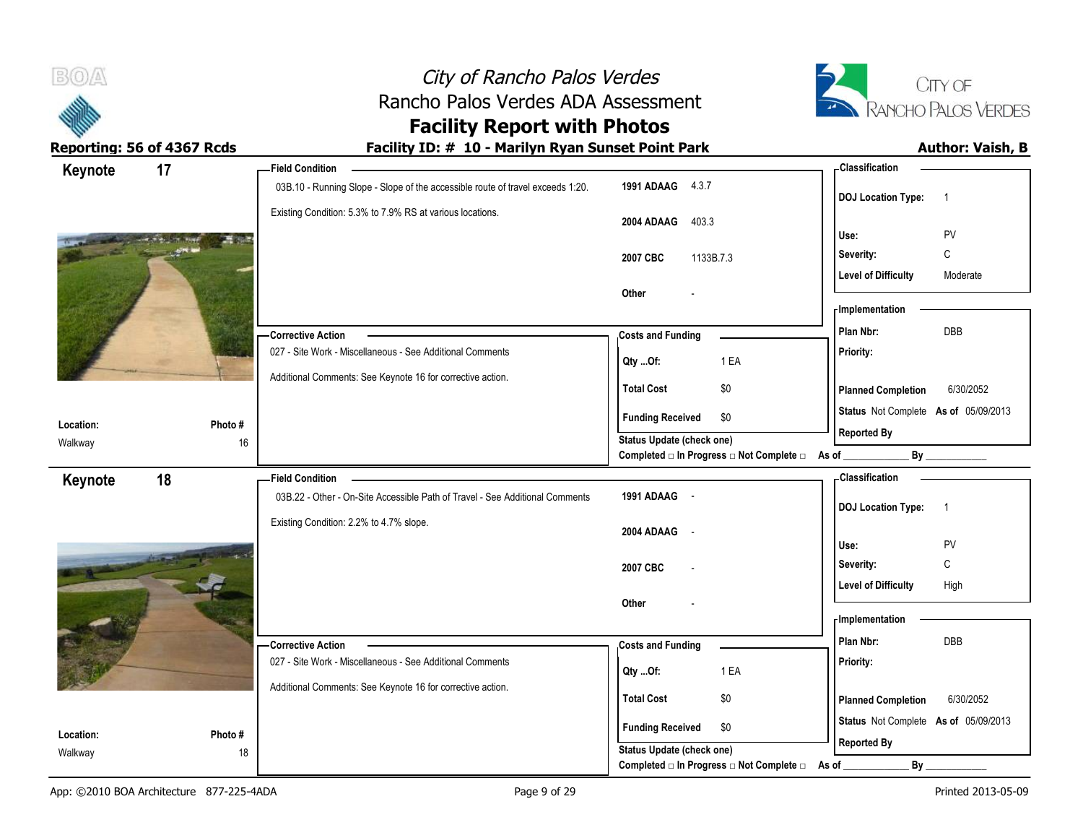| B(0)                       |         | City of Rancho Palos Verdes                                                      |                                                                        |                                      | CITY OF                 |
|----------------------------|---------|----------------------------------------------------------------------------------|------------------------------------------------------------------------|--------------------------------------|-------------------------|
|                            |         | Rancho Palos Verdes ADA Assessment<br><b>Facility Report with Photos</b>         |                                                                        |                                      | RANCHO PALOS VERDES     |
| Reporting: 56 of 4367 Rcds |         | Facility ID: # 10 - Marilyn Ryan Sunset Point Park                               |                                                                        |                                      | <b>Author: Vaish, B</b> |
| Keynote                    | 17      | <b>Field Condition</b>                                                           |                                                                        | <b>Classification</b>                |                         |
|                            |         | 03B.10 - Running Slope - Slope of the accessible route of travel exceeds 1:20.   | 1991 ADAAG 4.3.7                                                       | <b>DOJ Location Type:</b>            | $\overline{1}$          |
|                            |         | Existing Condition: 5.3% to 7.9% RS at various locations.                        | 403.3<br>2004 ADAAG                                                    |                                      |                         |
|                            |         |                                                                                  |                                                                        | Use:                                 | PV                      |
|                            |         |                                                                                  | 2007 CBC<br>1133B.7.3                                                  | Severity:                            | C                       |
|                            |         |                                                                                  | Other                                                                  | <b>Level of Difficulty</b>           | Moderate                |
|                            |         |                                                                                  |                                                                        | Implementation                       |                         |
|                            |         | -Corrective Action                                                               | <b>Costs and Funding</b>                                               | Plan Nbr:                            | DBB                     |
|                            |         | 027 - Site Work - Miscellaneous - See Additional Comments                        |                                                                        | <b>Priority:</b>                     |                         |
|                            |         | Additional Comments: See Keynote 16 for corrective action.                       | Qty Of:<br>1 EA                                                        |                                      |                         |
|                            |         |                                                                                  | \$0<br><b>Total Cost</b>                                               | <b>Planned Completion</b>            | 6/30/2052               |
| Location:                  | Photo#  |                                                                                  | <b>Funding Received</b><br>\$0                                         | Status Not Complete As of 05/09/2013 |                         |
| Walkway                    | 16      |                                                                                  | Status Update (check one)                                              | <b>Reported By</b>                   |                         |
|                            |         |                                                                                  | Completed $\square$ In Progress $\square$ Not Complete $\square$ As of | $By_$                                |                         |
| Keynote                    | 18      | <b>Field Condition</b>                                                           |                                                                        | Classification                       |                         |
|                            |         | 03B.22 - Other - On-Site Accessible Path of Travel - See Additional Comments     | 1991 ADAAG -                                                           | DOJ Location Type: 1                 |                         |
|                            |         | Existing Condition: 2.2% to 4.7% slope.                                          | 2004 ADAAG<br>$\sim$                                                   |                                      |                         |
|                            |         |                                                                                  |                                                                        | Use:                                 | PV                      |
|                            |         |                                                                                  | 2007 CBC                                                               | Severity:                            | C                       |
|                            |         |                                                                                  |                                                                        | Level of Difficulty                  | High                    |
|                            |         |                                                                                  | Other                                                                  | Implementation                       |                         |
|                            |         |                                                                                  |                                                                        | Plan Nbr:                            | DBB                     |
|                            |         | - Corrective Action<br>027 - Site Work - Miscellaneous - See Additional Comments | <b>Costs and Funding</b>                                               | Priority:                            |                         |
|                            |         |                                                                                  | 1 EA<br>Qty Of:                                                        |                                      |                         |
|                            |         | Additional Comments: See Keynote 16 for corrective action.                       | <b>Total Cost</b><br>\$0                                               | <b>Planned Completion</b>            | 6/30/2052               |
| Location:                  | Photo # |                                                                                  | <b>Funding Received</b><br>\$0                                         | Status Not Complete As of 05/09/2013 |                         |
| Walkway                    | 18      |                                                                                  | Status Update (check one)                                              | <b>Reported By</b>                   |                         |
|                            |         |                                                                                  | Completed □ In Progress □ Not Complete □ As of                         | Bv                                   |                         |

÷.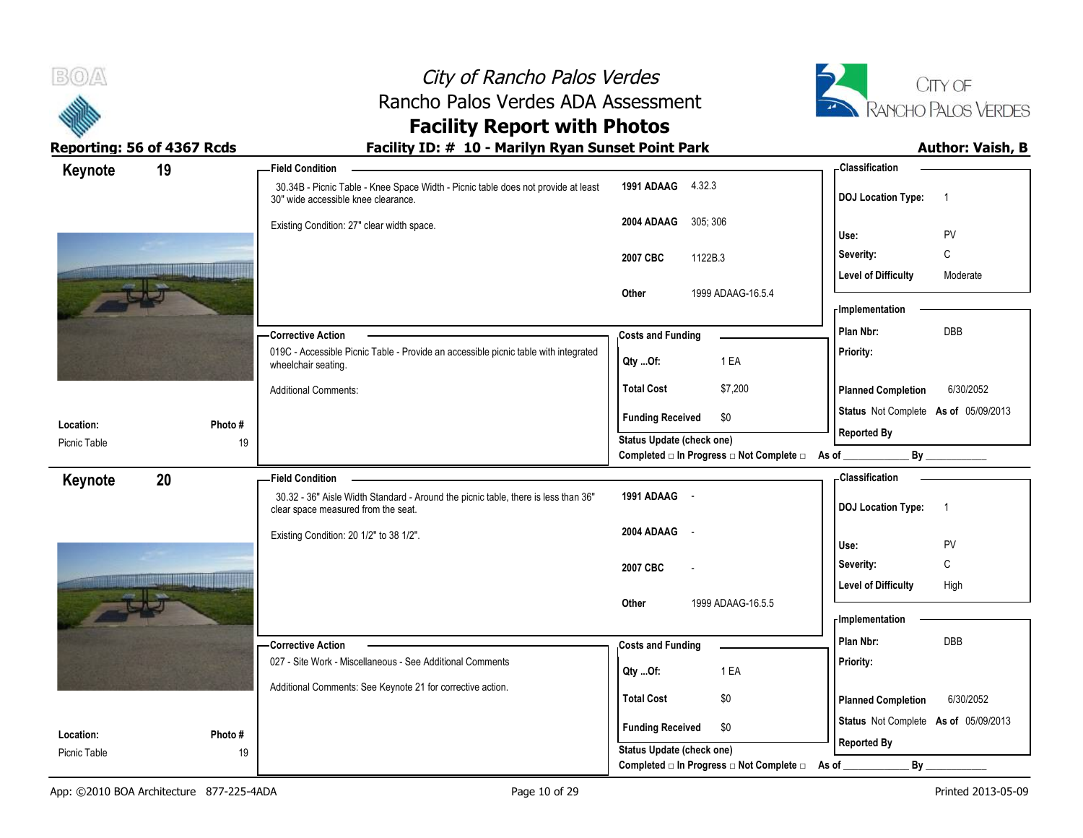



# **Facility Report with Photos**

| Keynote                   | 19           | -Field Condition                                                                                                          |                                                                 | - Classification                            |
|---------------------------|--------------|---------------------------------------------------------------------------------------------------------------------------|-----------------------------------------------------------------|---------------------------------------------|
|                           |              | 30.34B - Picnic Table - Knee Space Width - Picnic table does not provide at least<br>30" wide accessible knee clearance.  | 1991 ADAAG 4.32.3                                               | <b>DOJ Location Type:</b><br>$\overline{1}$ |
|                           |              | Existing Condition: 27" clear width space.                                                                                | 305, 306<br>2004 ADAAG                                          | PV<br>Use:                                  |
|                           |              |                                                                                                                           |                                                                 | $\mathbb C$<br>Severity:                    |
|                           |              |                                                                                                                           | 1122B.3<br>2007 CBC                                             | <b>Level of Difficulty</b><br>Moderate      |
|                           |              |                                                                                                                           | 1999 ADAAG-16.5.4<br>Other                                      |                                             |
|                           |              |                                                                                                                           |                                                                 | - Implementation                            |
|                           |              | - Corrective Action                                                                                                       | <b>Costs and Funding</b>                                        | DBB<br>Plan Nbr:                            |
|                           |              | 019C - Accessible Picnic Table - Provide an accessible picnic table with integrated                                       |                                                                 | Priority:                                   |
|                           |              | wheelchair seating.                                                                                                       | 1 EA<br>Qty Of:                                                 |                                             |
|                           |              | <b>Additional Comments:</b>                                                                                               | \$7,200<br><b>Total Cost</b>                                    | 6/30/2052<br><b>Planned Completion</b>      |
|                           |              |                                                                                                                           | <b>Funding Received</b><br>\$0                                  | Status Not Complete As of 05/09/2013        |
| Location:<br>Picnic Table | Photo#<br>19 |                                                                                                                           | <b>Status Update (check one)</b>                                | <b>Reported By</b>                          |
|                           |              |                                                                                                                           | Completed $\Box$ In Progress $\Box$ Not Complete $\Box$ As of _ | $By$ <sub>____</sub>                        |
| Keynote                   | 20           | Field Condition -                                                                                                         |                                                                 | - Classification                            |
|                           |              | 30.32 - 36" Aisle Width Standard - Around the picnic table, there is less than 36"<br>clear space measured from the seat. | 1991 ADAAG -                                                    | <b>DOJ Location Type:</b><br>$\overline{1}$ |
|                           |              | Existing Condition: 20 1/2" to 38 1/2".                                                                                   | 2004 ADAAG -                                                    | Use:<br>PV                                  |
|                           |              |                                                                                                                           |                                                                 | C                                           |
|                           |              |                                                                                                                           | 2007 CBC<br>$\overline{a}$                                      | Severity:                                   |
|                           |              |                                                                                                                           | 1999 ADAAG-16.5.5<br>Other                                      | <b>Level of Difficulty</b><br>High          |
|                           |              |                                                                                                                           |                                                                 | - Implementation                            |
|                           |              | - Corrective Action                                                                                                       | <b>Costs and Funding</b>                                        | Plan Nbr:<br>DBB                            |
|                           |              | 027 - Site Work - Miscellaneous - See Additional Comments                                                                 |                                                                 | Priority:                                   |
|                           |              | Additional Comments: See Keynote 21 for corrective action.                                                                | 1 EA<br>Qty Of:                                                 |                                             |
|                           |              |                                                                                                                           | <b>Total Cost</b><br>\$0                                        | <b>Planned Completion</b><br>6/30/2052      |
| Location:                 | Photo #      |                                                                                                                           | <b>Funding Received</b><br>\$0                                  | Status Not Complete As of 05/09/2013        |
| Picnic Table              | 19           |                                                                                                                           | <b>Status Update (check one)</b>                                | <b>Reported By</b>                          |
|                           |              |                                                                                                                           | Completed □ In Progress □ Not Complete □                        | By<br>As of                                 |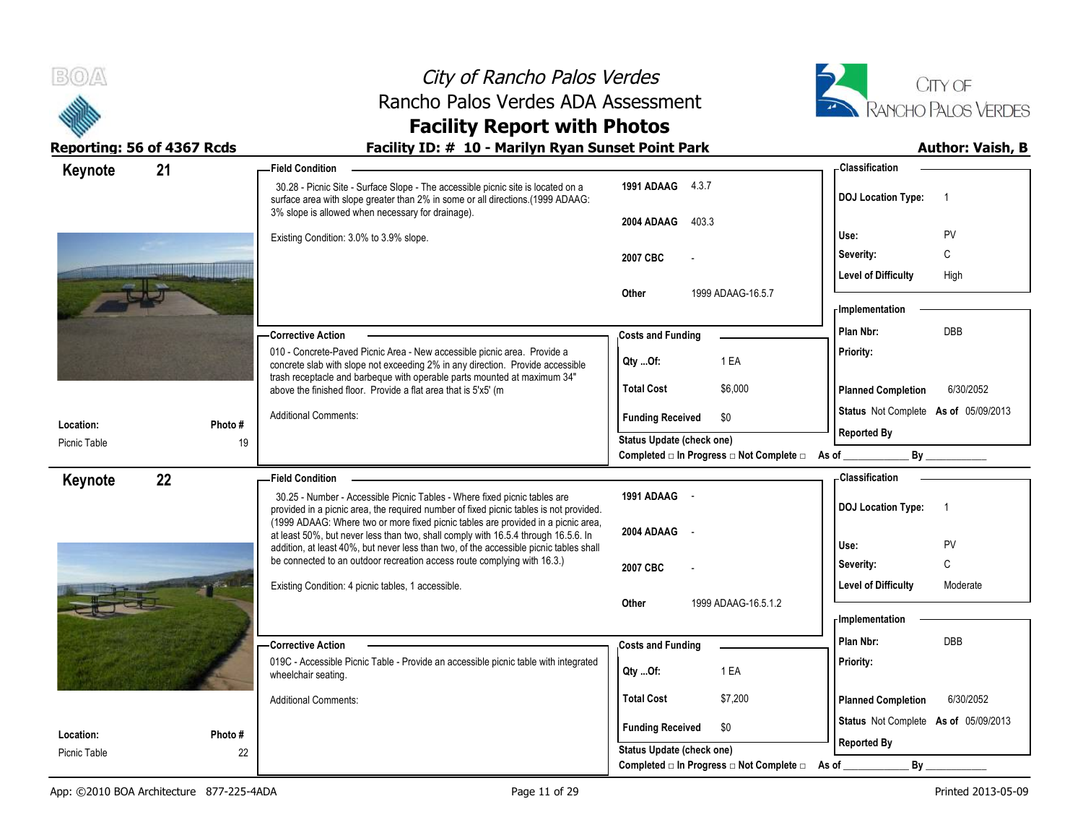



# **Facility Report with Photos**

| Keynote                   | 21           | - Field Condition                                                                                                                                                                                                                      |                                                                                                     | - Classification                            |
|---------------------------|--------------|----------------------------------------------------------------------------------------------------------------------------------------------------------------------------------------------------------------------------------------|-----------------------------------------------------------------------------------------------------|---------------------------------------------|
|                           |              | 30.28 - Picnic Site - Surface Slope - The accessible picnic site is located on a<br>surface area with slope greater than 2% in some or all directions.(1999 ADAAG:<br>3% slope is allowed when necessary for drainage).                | 1991 ADAAG 4.3.7                                                                                    | <b>DOJ</b> Location Type:<br>-1             |
|                           |              |                                                                                                                                                                                                                                        | 2004 ADAAG<br>403.3                                                                                 | Use:<br>PV                                  |
|                           |              | Existing Condition: 3.0% to 3.9% slope.                                                                                                                                                                                                | 2007 CBC                                                                                            | C<br>Severity:                              |
|                           |              |                                                                                                                                                                                                                                        |                                                                                                     | <b>Level of Difficulty</b><br>High          |
|                           |              |                                                                                                                                                                                                                                        | Other<br>1999 ADAAG-16.5.7                                                                          |                                             |
|                           |              |                                                                                                                                                                                                                                        |                                                                                                     | - Implementation                            |
|                           |              | <b>Corrective Action</b>                                                                                                                                                                                                               | <b>Costs and Funding</b>                                                                            | DBB<br>Plan Nbr:                            |
|                           |              | 010 - Concrete-Paved Picnic Area - New accessible picnic area. Provide a<br>concrete slab with slope not exceeding 2% in any direction. Provide accessible<br>trash receptacle and barbeque with operable parts mounted at maximum 34" | 1 EA<br>Qty Of:                                                                                     | Priority:                                   |
|                           |              | above the finished floor. Provide a flat area that is 5'x5' (m                                                                                                                                                                         | <b>Total Cost</b><br>\$6,000                                                                        | <b>Planned Completion</b><br>6/30/2052      |
|                           |              | <b>Additional Comments:</b>                                                                                                                                                                                                            | \$0<br><b>Funding Received</b>                                                                      | Status Not Complete As of 05/09/2013        |
| Location:<br>Picnic Table | Photo#<br>19 |                                                                                                                                                                                                                                        | Status Update (check one)                                                                           | <b>Reported By</b>                          |
|                           |              |                                                                                                                                                                                                                                        | Completed □ In Progress □ Not Complete □ As of                                                      | By                                          |
| Keynote                   | 22           | <b>Field Condition</b>                                                                                                                                                                                                                 |                                                                                                     | - Classification                            |
|                           |              | 30.25 - Number - Accessible Picnic Tables - Where fixed picnic tables are<br>provided in a picnic area, the required number of fixed picnic tables is not provided.                                                                    | 1991 ADAAG -                                                                                        | <b>DOJ Location Type:</b><br>$\overline{1}$ |
|                           |              |                                                                                                                                                                                                                                        |                                                                                                     |                                             |
|                           |              | (1999 ADAAG: Where two or more fixed picnic tables are provided in a picnic area,                                                                                                                                                      |                                                                                                     |                                             |
|                           |              | at least 50%, but never less than two, shall comply with 16.5.4 through 16.5.6. In                                                                                                                                                     | 2004 ADAAG<br>$\sim$                                                                                | Use:<br>PV                                  |
|                           |              | addition, at least 40%, but never less than two, of the accessible picnic tables shall<br>be connected to an outdoor recreation access route complying with 16.3.)                                                                     | 2007 CBC                                                                                            | C<br>Severity:                              |
|                           |              | Existing Condition: 4 picnic tables, 1 accessible.                                                                                                                                                                                     |                                                                                                     | Level of Difficulty<br>Moderate             |
|                           |              |                                                                                                                                                                                                                                        | 1999 ADAAG-16.5.1.2<br>Other                                                                        |                                             |
|                           |              |                                                                                                                                                                                                                                        |                                                                                                     | <b>Implementation</b>                       |
|                           |              | - Corrective Action                                                                                                                                                                                                                    | <b>Costs and Funding</b>                                                                            | Plan Nbr:<br>DBB                            |
|                           |              | 019C - Accessible Picnic Table - Provide an accessible picnic table with integrated<br>wheelchair seating.                                                                                                                             | 1 EA<br>Qty Of:                                                                                     | Priority:                                   |
|                           |              | <b>Additional Comments:</b>                                                                                                                                                                                                            | <b>Total Cost</b><br>\$7,200                                                                        | <b>Planned Completion</b><br>6/30/2052      |
| Location:                 | Photo #      |                                                                                                                                                                                                                                        | <b>Funding Received</b><br>\$0                                                                      | Status Not Complete As of 05/09/2013        |
| Picnic Table              | 22           |                                                                                                                                                                                                                                        | Status Update (check one)<br>Completed $\square$ In Progress $\square$ Not Complete $\square$ As of | <b>Reported By</b><br>By                    |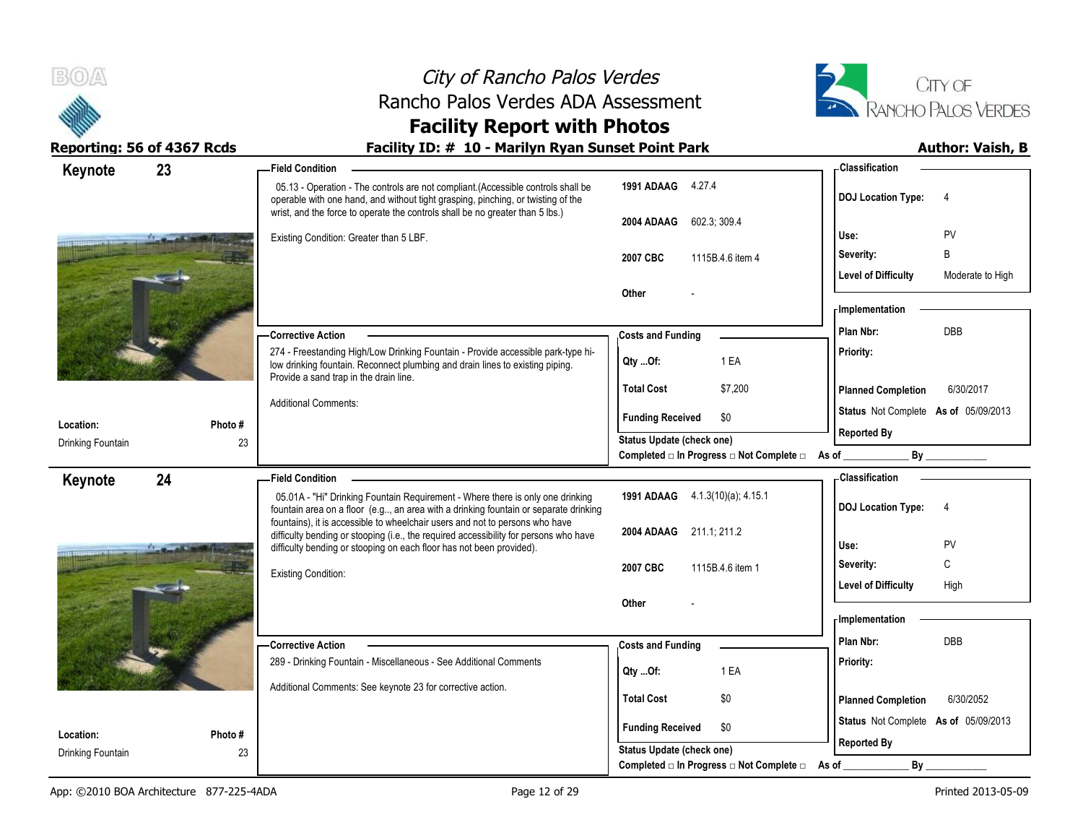

# **Facility Report with Photos**

| Keynote                        | 23           | -Field Condition                                                                                                                                                                                                                                       |                                                  | <b>Classification</b>                          |
|--------------------------------|--------------|--------------------------------------------------------------------------------------------------------------------------------------------------------------------------------------------------------------------------------------------------------|--------------------------------------------------|------------------------------------------------|
|                                |              | 05.13 - Operation - The controls are not compliant. (Accessible controls shall be<br>operable with one hand, and without tight grasping, pinching, or twisting of the<br>wrist, and the force to operate the controls shall be no greater than 5 lbs.) | 1991 ADAAG 4.27.4                                | <b>DOJ</b> Location Type:<br>$\overline{4}$    |
|                                |              |                                                                                                                                                                                                                                                        | 602.3; 309.4<br>2004 ADAAG                       |                                                |
|                                |              | Existing Condition: Greater than 5 LBF.                                                                                                                                                                                                                |                                                  | PV<br>Use:                                     |
|                                |              |                                                                                                                                                                                                                                                        | 2007 CBC<br>1115B.4.6 item 4                     | B<br>Severity:                                 |
|                                |              |                                                                                                                                                                                                                                                        | Other                                            | <b>Level of Difficulty</b><br>Moderate to High |
|                                |              |                                                                                                                                                                                                                                                        |                                                  | Implementation                                 |
|                                |              | <b>Corrective Action</b>                                                                                                                                                                                                                               | <b>Costs and Funding</b>                         | <b>DBB</b><br>Plan Nbr:                        |
|                                |              | 274 - Freestanding High/Low Drinking Fountain - Provide accessible park-type hi-                                                                                                                                                                       |                                                  | Priority:                                      |
|                                |              | low drinking fountain. Reconnect plumbing and drain lines to existing piping.<br>Provide a sand trap in the drain line.                                                                                                                                | 1 EA<br>$Qty$ Of:                                |                                                |
|                                |              |                                                                                                                                                                                                                                                        | \$7,200<br><b>Total Cost</b>                     | <b>Planned Completion</b><br>6/30/2017         |
|                                |              | <b>Additional Comments:</b>                                                                                                                                                                                                                            | <b>Funding Received</b><br>\$0                   | Status Not Complete As of 05/09/2013           |
| Location:                      | Photo #      |                                                                                                                                                                                                                                                        | Status Update (check one)                        | <b>Reported By</b>                             |
| Drinking Fountain              | 23           |                                                                                                                                                                                                                                                        | Completed □ In Progress □ Not Complete □ As of _ | $\mathsf{By}$                                  |
| Keynote                        | 24           | <b>Field Condition</b>                                                                                                                                                                                                                                 |                                                  | <b>Classification</b>                          |
|                                |              |                                                                                                                                                                                                                                                        |                                                  |                                                |
|                                |              | 05.01A - "Hi" Drinking Fountain Requirement - Where there is only one drinking                                                                                                                                                                         | 1991 ADAAG 4.1.3(10)(a); 4.15.1                  |                                                |
|                                |              | fountain area on a floor (e.g, an area with a drinking fountain or separate drinking<br>fountains), it is accessible to wheelchair users and not to persons who have                                                                                   |                                                  | <b>DOJ</b> Location Type:<br>4                 |
|                                |              | difficulty bending or stooping (i.e., the required accessibility for persons who have                                                                                                                                                                  | 2004 ADAAG 211.1, 211.2                          | <b>PV</b><br>Use:                              |
|                                |              | difficulty bending or stooping on each floor has not been provided).                                                                                                                                                                                   |                                                  | C<br>Severity:                                 |
|                                |              | <b>Existing Condition:</b>                                                                                                                                                                                                                             | 2007 CBC<br>1115B.4.6 item 1                     | <b>Level of Difficulty</b><br>High             |
|                                |              |                                                                                                                                                                                                                                                        | Other                                            |                                                |
|                                |              |                                                                                                                                                                                                                                                        |                                                  | - Implementation                               |
|                                |              | - Corrective Action                                                                                                                                                                                                                                    | <b>Costs and Funding</b>                         | Plan Nbr:<br><b>DBB</b>                        |
|                                |              | 289 - Drinking Fountain - Miscellaneous - See Additional Comments                                                                                                                                                                                      |                                                  | Priority:                                      |
|                                |              | Additional Comments: See keynote 23 for corrective action.                                                                                                                                                                                             | 1 EA<br>Qty Of:                                  |                                                |
|                                |              |                                                                                                                                                                                                                                                        | <b>Total Cost</b><br>\$0                         | <b>Planned Completion</b><br>6/30/2052         |
|                                |              |                                                                                                                                                                                                                                                        | <b>Funding Received</b><br>\$0                   | Status Not Complete As of 05/09/2013           |
| Location:<br>Drinking Fountain | Photo#<br>23 |                                                                                                                                                                                                                                                        | Status Update (check one)                        | <b>Reported By</b>                             |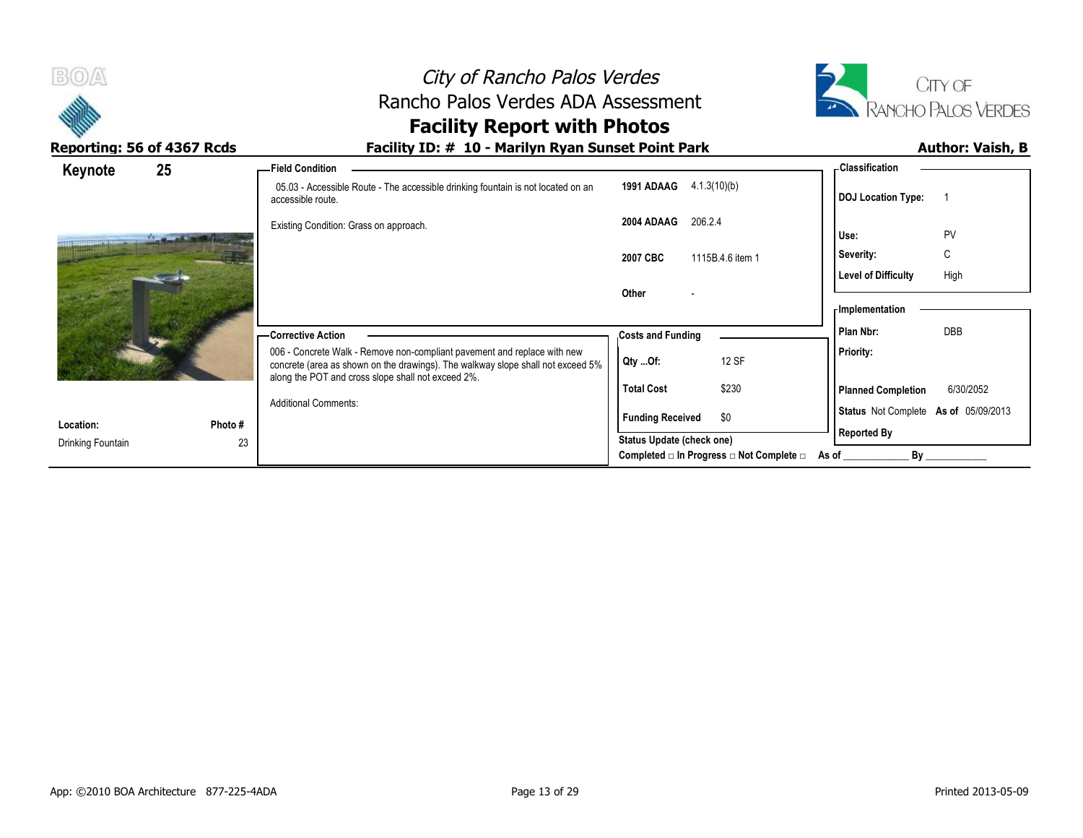



Completed □ In Progress □ Not Complete □ As of \_\_\_\_\_\_\_\_\_\_\_\_\_\_\_\_\_\_\_\_\_\_\_\_\_\_\_\_\_\_\_\_\_

|                                |         | <b>Facility Report with Photos</b>                                                                                                                          |                                |                                        |
|--------------------------------|---------|-------------------------------------------------------------------------------------------------------------------------------------------------------------|--------------------------------|----------------------------------------|
| Reporting: 56 of 4367 Rcds     |         | Facility ID: # 10 - Marilyn Ryan Sunset Point Park                                                                                                          |                                | <b>Author: Vaish, B</b>                |
| Keynote                        | 25      | - Field Condition                                                                                                                                           | 1991 ADAAG                     | <b>Classification</b>                  |
|                                |         | 05.03 - Accessible Route - The accessible drinking fountain is not located on an<br>accessible route.                                                       | 4.1.3(10)(b)                   | <b>DOJ Location Type:</b>              |
|                                |         | Existing Condition: Grass on approach.                                                                                                                      | 206.2.4<br>2004 ADAAG          | PV<br>Use:                             |
|                                |         |                                                                                                                                                             | 2007 CBC<br>1115B.4.6 item 1   | C<br>Severity:                         |
|                                |         |                                                                                                                                                             |                                | High<br>Level of Difficulty            |
|                                |         |                                                                                                                                                             | Other                          | - Implementation                       |
|                                |         | — Corrective Action                                                                                                                                         | <b>Costs and Funding</b>       | <b>DBB</b><br>Plan Nbr:                |
|                                |         | 006 - Concrete Walk - Remove non-compliant pavement and replace with new<br>concrete (area as shown on the drawings). The walkway slope shall not exceed 5% | 12 SF<br>Qty Of:               | Priority:                              |
|                                |         | along the POT and cross slope shall not exceed 2%.                                                                                                          | \$230<br><b>Total Cost</b>     | 6/30/2052<br><b>Planned Completion</b> |
|                                | Photo # | <b>Additional Comments:</b>                                                                                                                                 | \$0<br><b>Funding Received</b> | Status Not Complete As of 05/09/2013   |
| Location:<br>Drinking Fountain | 23      |                                                                                                                                                             | Status Update (check one)      | <b>Reported By</b>                     |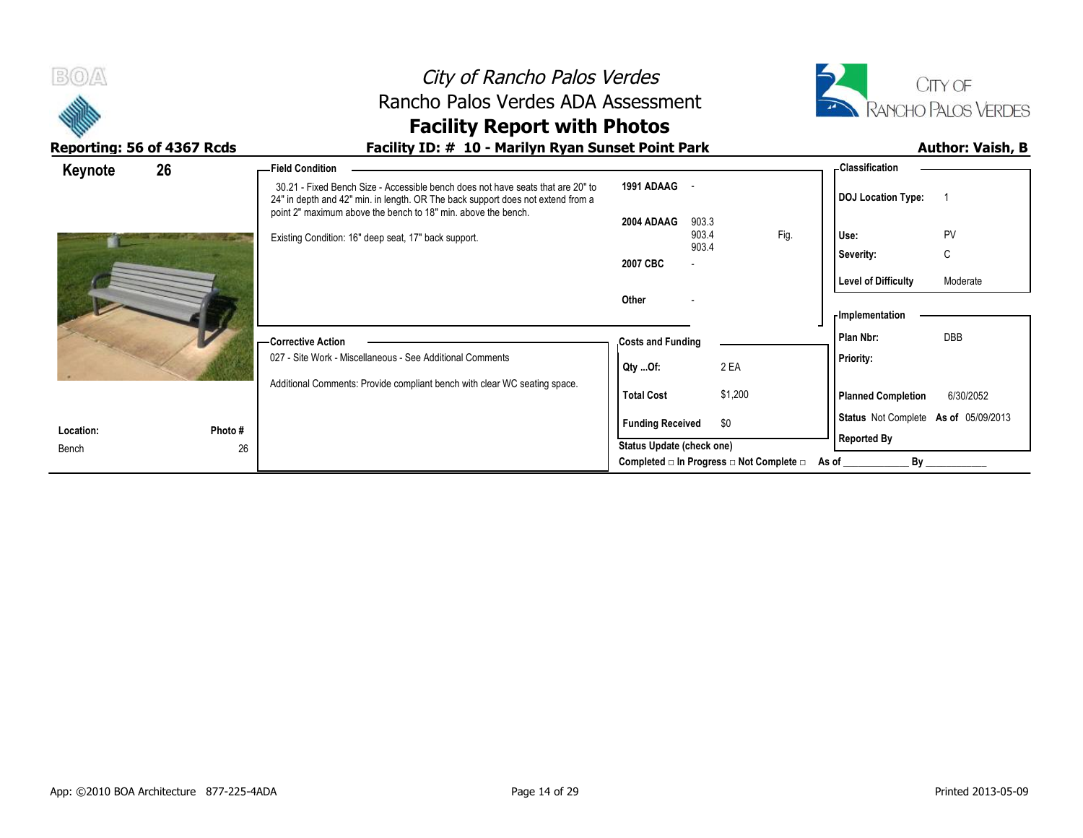

# **Facility Report with Photos**

| 26<br>Keynote |         | -Field Condition                                                                                                                                                                                                                    |                                          |                          |         |      | - Classification                     |            |  |
|---------------|---------|-------------------------------------------------------------------------------------------------------------------------------------------------------------------------------------------------------------------------------------|------------------------------------------|--------------------------|---------|------|--------------------------------------|------------|--|
|               |         | 30.21 - Fixed Bench Size - Accessible bench does not have seats that are 20" to<br>24" in depth and 42" min. in length. OR The back support does not extend from a<br>point 2" maximum above the bench to 18" min. above the bench. | 1991 ADAAG                               |                          |         |      | <b>DOJ</b> Location Type:            |            |  |
|               |         | Existing Condition: 16" deep seat, 17" back support.                                                                                                                                                                                | 2004 ADAAG                               | 903.3<br>903.4<br>903.4  |         | Fig. | Use:                                 | PV         |  |
|               |         |                                                                                                                                                                                                                                     | 2007 CBC                                 | $\overline{\phantom{0}}$ |         |      | Severity:                            | C          |  |
|               |         |                                                                                                                                                                                                                                     |                                          |                          |         |      | <b>Level of Difficulty</b>           | Moderate   |  |
|               |         |                                                                                                                                                                                                                                     | Other                                    |                          |         |      | <b>Implementation</b>                |            |  |
|               |         | - Corrective Action                                                                                                                                                                                                                 | <b>Costs and Funding</b>                 |                          |         |      | Plan Nbr:                            | <b>DBB</b> |  |
|               |         | 027 - Site Work - Miscellaneous - See Additional Comments                                                                                                                                                                           | Qty Of:                                  |                          | 2 EA    |      | <b>Priority:</b>                     |            |  |
|               |         | Additional Comments: Provide compliant bench with clear WC seating space.                                                                                                                                                           | <b>Total Cost</b>                        |                          | \$1,200 |      | <b>Planned Completion</b>            | 6/30/2052  |  |
| Location:     | Photo # |                                                                                                                                                                                                                                     | <b>Funding Received</b>                  |                          | \$0     |      | Status Not Complete As of 05/09/2013 |            |  |
| Bench         | 26      |                                                                                                                                                                                                                                     | Status Update (check one)                |                          |         |      | <b>Reported By</b>                   |            |  |
|               |         |                                                                                                                                                                                                                                     | Completed □ In Progress □ Not Complete □ |                          |         |      | Bv<br>As of                          |            |  |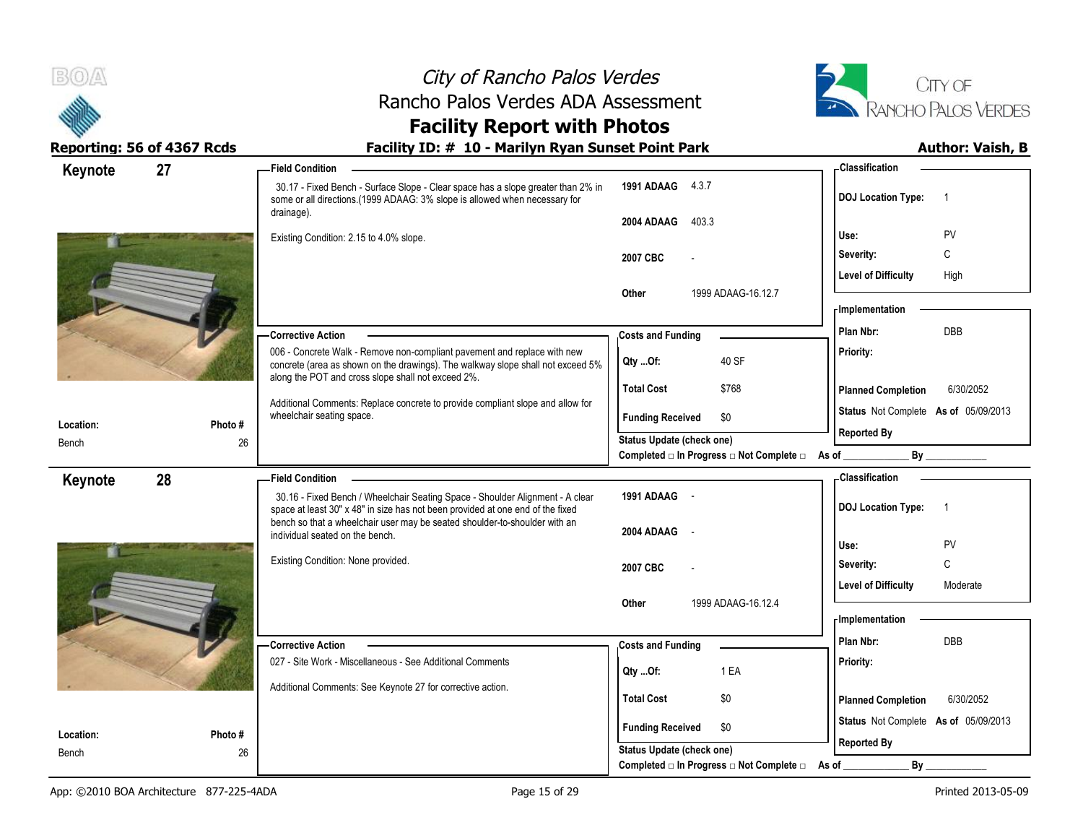



# **Facility Report with Photos**

| Keynote   | 27      | <b>Field Condition</b>                                                                                                                                                       |                                                                       | - Classification                            |
|-----------|---------|------------------------------------------------------------------------------------------------------------------------------------------------------------------------------|-----------------------------------------------------------------------|---------------------------------------------|
|           |         | 30.17 - Fixed Bench - Surface Slope - Clear space has a slope greater than 2% in<br>some or all directions.(1999 ADAAG: 3% slope is allowed when necessary for<br>drainage). | 1991 ADAAG 4.3.7                                                      | <b>DOJ Location Type:</b><br>$\overline{1}$ |
|           |         |                                                                                                                                                                              | 2004 ADAAG<br>403.3                                                   |                                             |
|           |         | Existing Condition: 2.15 to 4.0% slope.                                                                                                                                      |                                                                       | PV<br>Use:                                  |
|           |         |                                                                                                                                                                              | 2007 CBC                                                              | C<br>Severity:                              |
|           |         |                                                                                                                                                                              |                                                                       | <b>Level of Difficulty</b><br>High          |
|           |         |                                                                                                                                                                              | Other<br>1999 ADAAG-16.12.7                                           | - Implementation                            |
|           |         |                                                                                                                                                                              |                                                                       | <b>DBB</b><br>Plan Nbr:                     |
|           |         | <b>Corrective Action</b><br>006 - Concrete Walk - Remove non-compliant pavement and replace with new                                                                         | <b>Costs and Funding</b>                                              | Priority:                                   |
|           |         | concrete (area as shown on the drawings). The walkway slope shall not exceed 5%                                                                                              | 40 SF<br>Qty Of:                                                      |                                             |
|           |         | along the POT and cross slope shall not exceed 2%.                                                                                                                           | <b>Total Cost</b><br>\$768                                            | 6/30/2052<br><b>Planned Completion</b>      |
|           |         | Additional Comments: Replace concrete to provide compliant slope and allow for<br>wheelchair seating space.                                                                  | \$0<br><b>Funding Received</b>                                        | Status Not Complete As of 05/09/2013        |
| Location: | Photo # |                                                                                                                                                                              | Status Update (check one)                                             | <b>Reported By</b>                          |
| Bench     | 26      |                                                                                                                                                                              | Completed □ In Progress □ Not Complete □ As of _                      | By                                          |
| Keynote   | 28      | <b>Field Condition</b>                                                                                                                                                       |                                                                       | -Classification                             |
|           |         | 30.16 - Fixed Bench / Wheelchair Seating Space - Shoulder Alignment - A clear<br>space at least 30" x 48" in size has not been provided at one end of the fixed              | 1991 ADAAG -                                                          | <b>DOJ Location Type:</b><br>$\overline{1}$ |
|           |         | bench so that a wheelchair user may be seated shoulder-to-shoulder with an<br>individual seated on the bench.                                                                | 2004 ADAAG                                                            |                                             |
|           |         |                                                                                                                                                                              |                                                                       | Use:<br>PV                                  |
|           |         | Existing Condition: None provided.                                                                                                                                           |                                                                       |                                             |
|           |         |                                                                                                                                                                              | 2007 CBC                                                              | C<br>Severity:                              |
|           |         |                                                                                                                                                                              |                                                                       | <b>Level of Difficulty</b><br>Moderate      |
|           |         |                                                                                                                                                                              | 1999 ADAAG-16.12.4<br>Other                                           |                                             |
|           |         |                                                                                                                                                                              |                                                                       | - Implementation                            |
|           |         | Corrective Action                                                                                                                                                            | <b>Costs and Funding</b>                                              | Plan Nbr:<br>DBB                            |
|           |         | 027 - Site Work - Miscellaneous - See Additional Comments                                                                                                                    | 1 EA<br>Qty Of:                                                       | Priority:                                   |
|           |         | Additional Comments: See Keynote 27 for corrective action.                                                                                                                   |                                                                       |                                             |
|           |         |                                                                                                                                                                              | <b>Total Cost</b><br>\$0                                              | <b>Planned Completion</b><br>6/30/2052      |
| Location: | Photo#  |                                                                                                                                                                              | <b>Funding Received</b><br>\$0                                        | Status Not Complete As of 05/09/2013        |
| Bench     | 26      |                                                                                                                                                                              | Status Update (check one)<br>Completed □ In Progress □ Not Complete □ | <b>Reported By</b><br>By<br>As of           |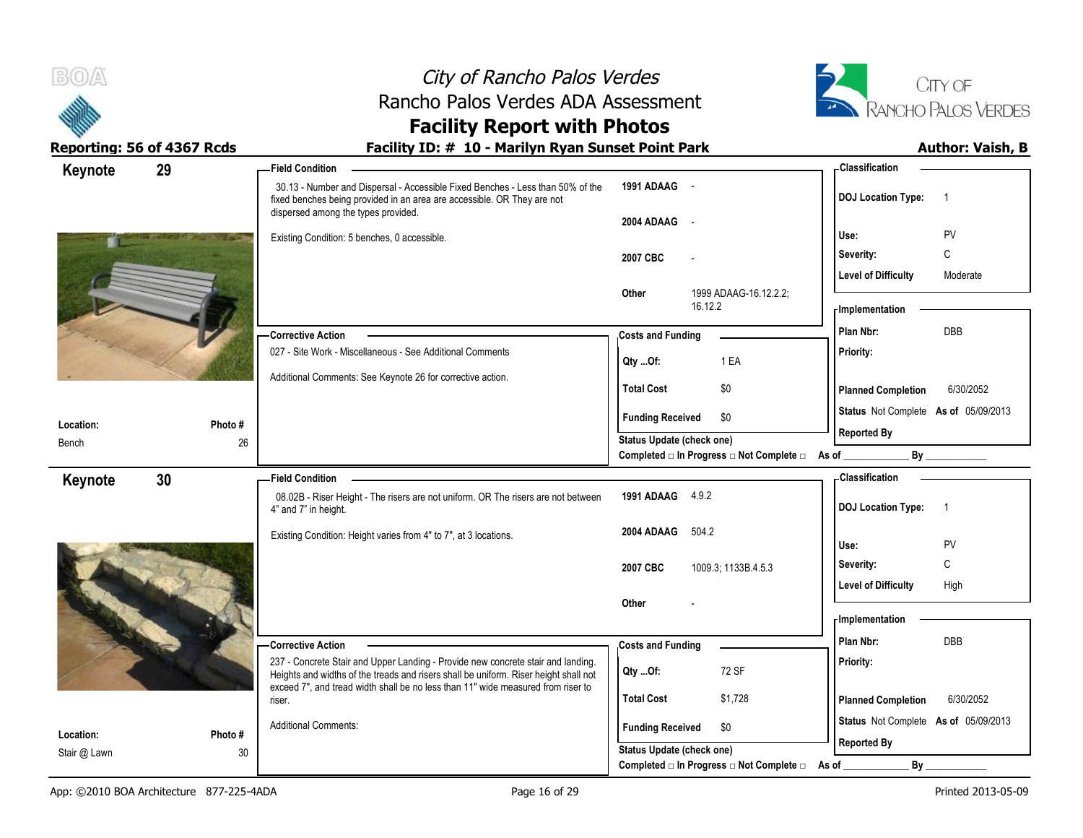



# **Facility Report with Photos**

| Keynote                   | 29            | -Field Condition                                                                                                                                                                                 |                                                  | - Classification                                           |
|---------------------------|---------------|--------------------------------------------------------------------------------------------------------------------------------------------------------------------------------------------------|--------------------------------------------------|------------------------------------------------------------|
|                           |               | 30.13 - Number and Dispersal - Accessible Fixed Benches - Less than 50% of the<br>fixed benches being provided in an area are accessible. OR They are not<br>dispersed among the types provided. | 1991 ADAAG -                                     | <b>DOJ Location Type:</b><br>$\overline{1}$                |
|                           |               |                                                                                                                                                                                                  | 2004 ADAAG -                                     | PV<br>Use:                                                 |
|                           |               | Existing Condition: 5 benches, 0 accessible.                                                                                                                                                     |                                                  | C<br>Severity:                                             |
|                           |               |                                                                                                                                                                                                  | 2007 CBC                                         | <b>Level of Difficulty</b><br>Moderate                     |
|                           |               |                                                                                                                                                                                                  | Other<br>1999 ADAAG-16.12.2.2;                   |                                                            |
|                           |               |                                                                                                                                                                                                  | 16.12.2                                          | - Implementation                                           |
|                           |               | <b>Corrective Action</b>                                                                                                                                                                         | <b>Costs and Funding</b>                         | <b>DBB</b><br>Plan Nbr:                                    |
|                           |               | 027 - Site Work - Miscellaneous - See Additional Comments                                                                                                                                        | 1 EA<br>Qty Of:                                  | Priority:                                                  |
|                           |               | Additional Comments: See Keynote 26 for corrective action.                                                                                                                                       | <b>Total Cost</b><br>\$0                         | <b>Planned Completion</b><br>6/30/2052                     |
|                           |               |                                                                                                                                                                                                  |                                                  |                                                            |
| Location:                 | Photo#        |                                                                                                                                                                                                  | <b>Funding Received</b><br>\$0                   | Status Not Complete As of 05/09/2013<br><b>Reported By</b> |
| Bench                     | 26            |                                                                                                                                                                                                  | Status Update (check one)                        |                                                            |
|                           |               |                                                                                                                                                                                                  | Completed □ In Progress □ Not Complete □ As of _ | By                                                         |
| Keynote                   | 30            | Field Condition -<br>08.02B - Riser Height - The risers are not uniform. OR The risers are not between                                                                                           | 1991 ADAAG 4.9.2                                 | - Classification                                           |
|                           |               | 4" and 7" in height.                                                                                                                                                                             |                                                  | <b>DOJ Location Type:</b><br>$\overline{1}$                |
|                           |               |                                                                                                                                                                                                  |                                                  |                                                            |
|                           |               |                                                                                                                                                                                                  | 2004 ADAAG<br>504.2                              |                                                            |
|                           |               | Existing Condition: Height varies from 4" to 7", at 3 locations.                                                                                                                                 |                                                  | Use:<br>PV                                                 |
|                           |               |                                                                                                                                                                                                  | 2007 CBC<br>1009.3; 1133B.4.5.3                  | C<br>Severity:                                             |
|                           |               |                                                                                                                                                                                                  |                                                  | <b>Level of Difficulty</b><br>High                         |
|                           |               |                                                                                                                                                                                                  | Other                                            | - Implementation                                           |
|                           |               |                                                                                                                                                                                                  |                                                  | Plan Nbr:<br>DBB                                           |
|                           |               | - Corrective Action<br>237 - Concrete Stair and Upper Landing - Provide new concrete stair and landing.                                                                                          | <b>Costs and Funding</b>                         | Priority:                                                  |
|                           |               | Heights and widths of the treads and risers shall be uniform. Riser height shall not                                                                                                             | 72 SF<br>Qty Of:                                 |                                                            |
|                           |               | exceed 7", and tread width shall be no less than 11" wide measured from riser to<br>riser.                                                                                                       | <b>Total Cost</b><br>\$1,728                     | <b>Planned Completion</b><br>6/30/2052                     |
|                           |               | <b>Additional Comments:</b>                                                                                                                                                                      | <b>Funding Received</b><br>\$0                   | Status Not Complete As of 05/09/2013                       |
| Location:<br>Stair @ Lawn | Photo #<br>30 |                                                                                                                                                                                                  | Status Update (check one)                        | <b>Reported By</b>                                         |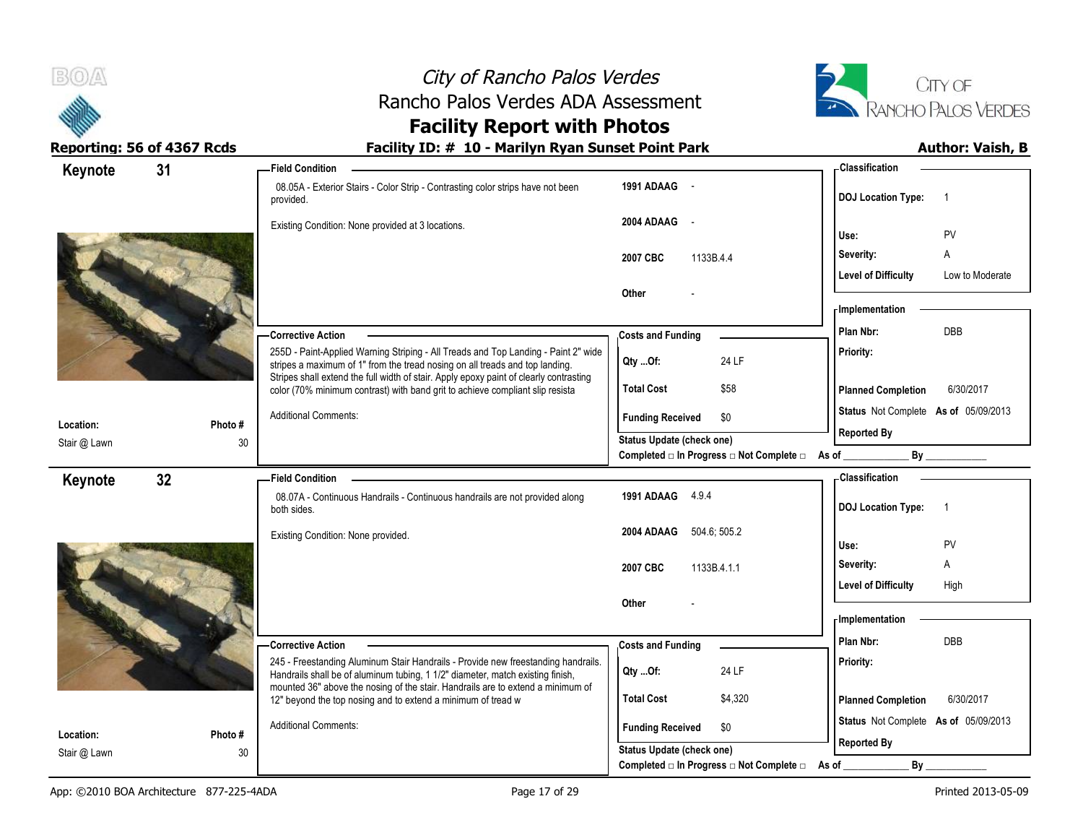



# **Facility Report with Photos**

| Keynote      | 31     | <b>Field Condition</b>                                                                                                                                                  |                                                | - Classification                                     |
|--------------|--------|-------------------------------------------------------------------------------------------------------------------------------------------------------------------------|------------------------------------------------|------------------------------------------------------|
|              |        | 08.05A - Exterior Stairs - Color Strip - Contrasting color strips have not been<br>provided.                                                                            | 1991 ADAAG -                                   | <b>DOJ Location Type:</b><br>$\overline{1}$          |
|              |        | Existing Condition: None provided at 3 locations.                                                                                                                       | 2004 ADAAG -                                   | PV<br>Use:                                           |
|              |        |                                                                                                                                                                         | 2007 CBC<br>1133B.4.4                          | Severity:<br>Α                                       |
|              |        |                                                                                                                                                                         |                                                | <b>Level of Difficulty</b><br>Low to Moderate        |
|              |        |                                                                                                                                                                         | Other                                          |                                                      |
|              |        |                                                                                                                                                                         |                                                | - Implementation                                     |
|              |        | <b>Corrective Action</b>                                                                                                                                                | <b>Costs and Funding</b>                       | <b>DBB</b><br>Plan Nbr:                              |
|              |        | 255D - Paint-Applied Warning Striping - All Treads and Top Landing - Paint 2" wide<br>stripes a maximum of 1" from the tread nosing on all treads and top landing.      | Qty Of:<br>24 LF                               | Priority:                                            |
|              |        | Stripes shall extend the full width of stair. Apply epoxy paint of clearly contrasting<br>color (70% minimum contrast) with band grit to achieve compliant slip resista | <b>Total Cost</b><br>\$58                      | 6/30/2017<br><b>Planned Completion</b>               |
|              |        | <b>Additional Comments:</b>                                                                                                                                             | <b>Funding Received</b><br>\$0                 | Status Not Complete As of 05/09/2013                 |
| Location:    | Photo# |                                                                                                                                                                         | Status Update (check one)                      | <b>Reported By</b>                                   |
| Stair @ Lawn |        | 30                                                                                                                                                                      | Completed □ In Progress □ Not Complete □ As of | By                                                   |
| Keynote      | 32     | <b>Field Condition</b>                                                                                                                                                  |                                                | - Classification                                     |
|              |        | 08.07A - Continuous Handrails - Continuous handrails are not provided along<br>both sides.                                                                              | 1991 ADAAG 4.9.4                               | <b>DOJ Location Type:</b><br>$\overline{1}$          |
|              |        | Existing Condition: None provided.                                                                                                                                      | 2004 ADAAG 504.6; 505.2                        |                                                      |
|              |        |                                                                                                                                                                         |                                                | Use:<br>PV                                           |
|              |        |                                                                                                                                                                         | 2007 CBC<br>1133B.4.1.1                        | Severity:<br>Α<br><b>Level of Difficulty</b><br>High |
|              |        |                                                                                                                                                                         | Other                                          |                                                      |
|              |        |                                                                                                                                                                         |                                                | - Implementation                                     |
|              |        | -Corrective Action                                                                                                                                                      | <b>Costs and Funding</b>                       | DBB<br>Plan Nbr:                                     |
|              |        | 245 - Freestanding Aluminum Stair Handrails - Provide new freestanding handrails.                                                                                       |                                                | Priority:                                            |
|              |        | Handrails shall be of aluminum tubing, 1 1/2" diameter, match existing finish,<br>mounted 36" above the nosing of the stair. Handrails are to extend a minimum of       | 24 LF<br>Qty Of:                               |                                                      |
|              |        | 12" beyond the top nosing and to extend a minimum of tread w                                                                                                            | <b>Total Cost</b><br>\$4,320                   | 6/30/2017<br><b>Planned Completion</b>               |
|              |        | <b>Additional Comments:</b>                                                                                                                                             | <b>Funding Received</b><br>\$0                 | Status Not Complete As of 05/09/2013                 |
| Location:    | Photo# |                                                                                                                                                                         | <b>Status Update (check one)</b>               | <b>Reported By</b>                                   |
| Stair @ Lawn |        | 30                                                                                                                                                                      | Completed □ In Progress □ Not Complete □       | By<br>As of                                          |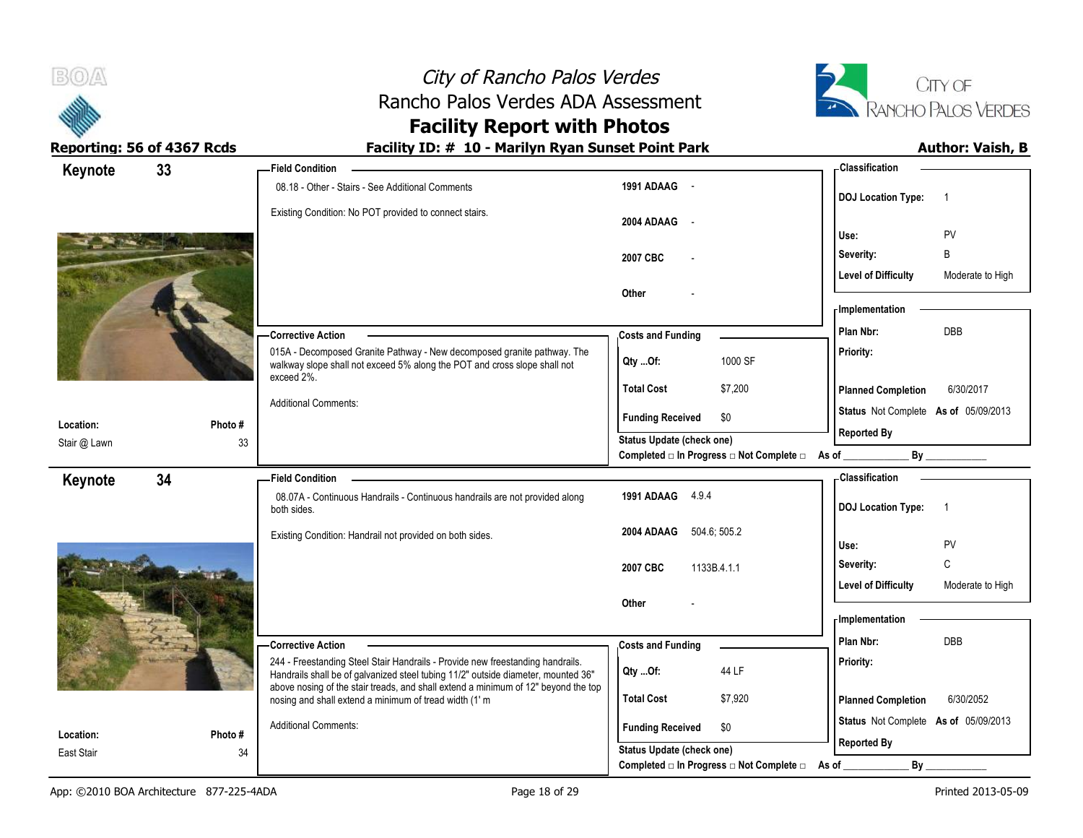

# **Facility Report with Photos**

|                           | 33           | <b>Field Condition</b>                                                                                                                                              |                                                                    | - Classification                                                  |                  |
|---------------------------|--------------|---------------------------------------------------------------------------------------------------------------------------------------------------------------------|--------------------------------------------------------------------|-------------------------------------------------------------------|------------------|
| Keynote                   |              | 08.18 - Other - Stairs - See Additional Comments                                                                                                                    | 1991 ADAAG -                                                       | <b>DOJ</b> Location Type:                                         | $\overline{1}$   |
|                           |              | Existing Condition: No POT provided to connect stairs.                                                                                                              | 2004 ADAAG -                                                       | Use:                                                              | PV               |
|                           |              |                                                                                                                                                                     | 2007 CBC                                                           | Severity:                                                         | B                |
|                           |              |                                                                                                                                                                     |                                                                    | <b>Level of Difficulty</b>                                        | Moderate to High |
|                           |              |                                                                                                                                                                     | <b>Other</b>                                                       |                                                                   |                  |
|                           |              |                                                                                                                                                                     |                                                                    | - Implementation                                                  |                  |
|                           |              | <b>Corrective Action</b>                                                                                                                                            | <b>Costs and Funding</b>                                           | Plan Nbr:                                                         | <b>DBB</b>       |
|                           |              | 015A - Decomposed Granite Pathway - New decomposed granite pathway. The<br>walkway slope shall not exceed 5% along the POT and cross slope shall not<br>exceed 2%.  | 1000 SF<br>$Qty$ Of:                                               | Priority:                                                         |                  |
|                           |              |                                                                                                                                                                     | <b>Total Cost</b><br>\$7,200                                       | <b>Planned Completion</b>                                         | 6/30/2017        |
|                           |              | <b>Additional Comments:</b>                                                                                                                                         | <b>Funding Received</b><br>\$0                                     | Status Not Complete As of 05/09/2013                              |                  |
| Location:<br>Stair @ Lawn | Photo#<br>33 |                                                                                                                                                                     | Status Update (check one)                                          | <b>Reported By</b>                                                |                  |
|                           |              |                                                                                                                                                                     | Completed □ In Progress □ Not Complete □ As of                     |                                                                   | By               |
| Keynote                   | 34           | - Field Condition                                                                                                                                                   |                                                                    | <b>Classification</b>                                             |                  |
|                           |              | 08.07A - Continuous Handrails - Continuous handrails are not provided along<br>both sides.                                                                          | 1991 ADAAG 4.9.4                                                   | <b>DOJ Location Type:</b>                                         | $\overline{1}$   |
|                           |              |                                                                                                                                                                     |                                                                    |                                                                   |                  |
|                           |              | Existing Condition: Handrail not provided on both sides.                                                                                                            | 2004 ADAAG 504.6; 505.2                                            | Use:                                                              |                  |
|                           |              |                                                                                                                                                                     |                                                                    | Severity:                                                         | PV<br>C          |
|                           |              |                                                                                                                                                                     | 2007 CBC<br>1133B.4.1.1                                            | <b>Level of Difficulty</b>                                        | Moderate to High |
|                           |              |                                                                                                                                                                     | Other                                                              |                                                                   |                  |
|                           |              |                                                                                                                                                                     |                                                                    | - Implementation                                                  |                  |
|                           |              | -Corrective Action                                                                                                                                                  | <b>Costs and Funding</b>                                           | Plan Nbr:                                                         | DBB              |
|                           |              | 244 - Freestanding Steel Stair Handrails - Provide new freestanding handrails.<br>Handrails shall be of galvanized steel tubing 11/2" outside diameter, mounted 36" | 44 LF<br>Qty Of:                                                   | Priority:                                                         |                  |
|                           |              | above nosing of the stair treads, and shall extend a minimum of 12" beyond the top                                                                                  | <b>Total Cost</b>                                                  |                                                                   |                  |
|                           |              | nosing and shall extend a minimum of tread width (1' m                                                                                                              | \$7,920                                                            | <b>Planned Completion</b><br>Status Not Complete As of 05/09/2013 | 6/30/2052        |
| Location:<br>East Stair   | Photo#<br>34 | <b>Additional Comments:</b>                                                                                                                                         | <b>Funding Received</b><br>\$0<br><b>Status Update (check one)</b> | <b>Reported By</b>                                                |                  |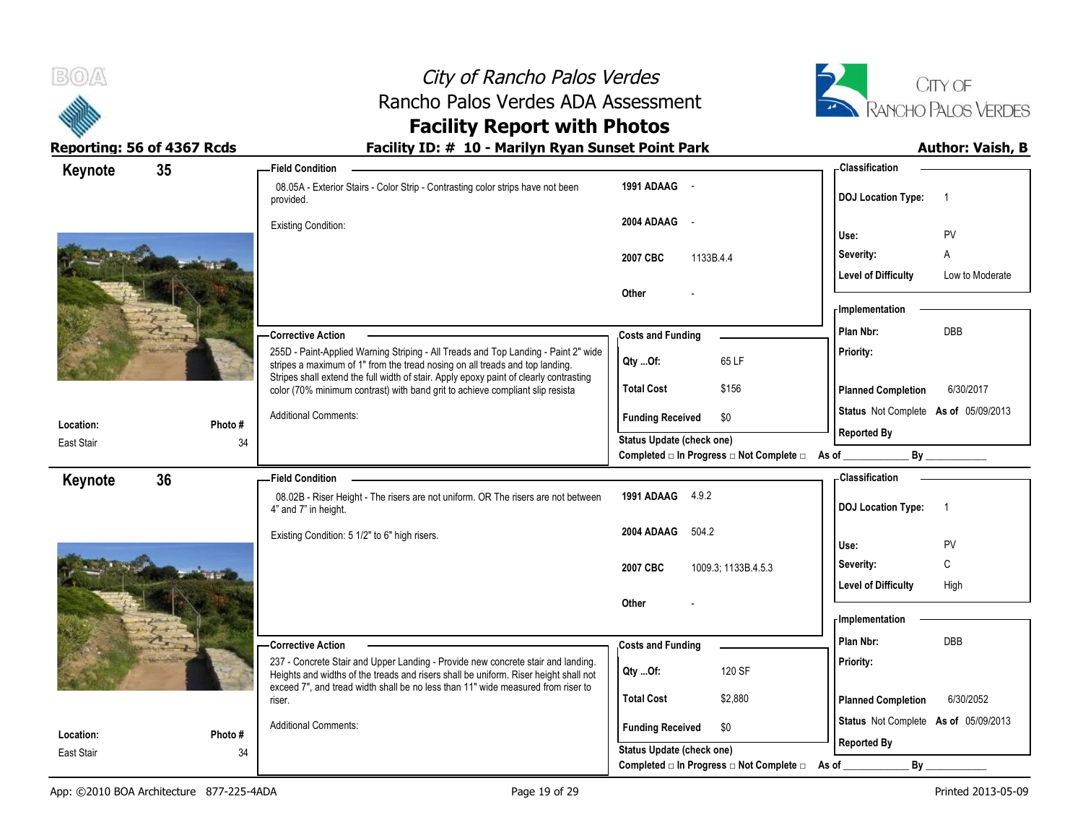



# **Facility Report with Photos**

| 35<br>Keynote |        | <b>Field Condition</b>                                                                                                                                                   |                                                                                    | <b>Classification</b>                |                 |
|---------------|--------|--------------------------------------------------------------------------------------------------------------------------------------------------------------------------|------------------------------------------------------------------------------------|--------------------------------------|-----------------|
|               |        | 08.05A - Exterior Stairs - Color Strip - Contrasting color strips have not been<br>provided.                                                                             | 1991 ADAAG -                                                                       | <b>DOJ</b> Location Type:            |                 |
|               |        | <b>Existing Condition:</b>                                                                                                                                               | 2004 ADAAG -                                                                       |                                      |                 |
|               |        |                                                                                                                                                                          |                                                                                    | Use:                                 | PV              |
|               |        |                                                                                                                                                                          | 1133B.4.4<br>2007 CBC                                                              | Severity:                            | A               |
|               |        |                                                                                                                                                                          | Other                                                                              | <b>Level of Difficulty</b>           | Low to Moderate |
|               |        |                                                                                                                                                                          |                                                                                    | <b>Implementation</b>                |                 |
|               |        | - Corrective Action                                                                                                                                                      | <b>Costs and Funding</b>                                                           | Plan Nbr:                            | <b>DBB</b>      |
|               |        | 255D - Paint-Applied Warning Striping - All Treads and Top Landing - Paint 2" wide                                                                                       |                                                                                    | Priority:                            |                 |
|               |        | stripes a maximum of 1" from the tread nosing on all treads and top landing.<br>Stripes shall extend the full width of stair. Apply epoxy paint of clearly contrasting   | 65 LF<br>Qty Of:                                                                   |                                      |                 |
|               |        | color (70% minimum contrast) with band grit to achieve compliant slip resista                                                                                            | <b>Total Cost</b><br>\$156                                                         | <b>Planned Completion</b>            | 6/30/2017       |
| Location:     | Photo# | <b>Additional Comments:</b>                                                                                                                                              | \$0<br><b>Funding Received</b>                                                     | Status Not Complete As of 05/09/2013 |                 |
| East Stair    | 34     |                                                                                                                                                                          | <b>Status Update (check one)</b>                                                   | <b>Reported By</b>                   |                 |
|               |        |                                                                                                                                                                          | Completed □ In Progress □ Not Complete □ As of _                                   |                                      | By              |
| 36<br>Keynote |        | <b>Field Condition</b>                                                                                                                                                   |                                                                                    | <b>Classification</b>                |                 |
|               |        | 08.02B - Riser Height - The risers are not uniform. OR The risers are not between<br>4" and 7" in height.                                                                | 1991 ADAAG 4.9.2                                                                   | <b>DOJ Location Type:</b>            | -1              |
|               |        | Existing Condition: 5 1/2" to 6" high risers.                                                                                                                            | 504.2<br>2004 ADAAG                                                                | Use:                                 | PV              |
|               |        |                                                                                                                                                                          |                                                                                    | Severity:                            | C               |
|               |        |                                                                                                                                                                          | 2007 CBC<br>1009.3; 1133B.4.5.3                                                    | <b>Level of Difficulty</b>           | High            |
|               |        |                                                                                                                                                                          | Other                                                                              |                                      |                 |
|               |        |                                                                                                                                                                          |                                                                                    | <b>Implementation</b>                |                 |
|               |        | - Corrective Action                                                                                                                                                      | <b>Costs and Funding</b>                                                           | Plan Nbr:                            | DBB             |
|               |        | 237 - Concrete Stair and Upper Landing - Provide new concrete stair and landing.<br>Heights and widths of the treads and risers shall be uniform. Riser height shall not | 120 SF<br>Qty Of:                                                                  | Priority:                            |                 |
|               |        | exceed 7", and tread width shall be no less than 11" wide measured from riser to<br>riser.                                                                               | <b>Total Cost</b><br>\$2,880                                                       | <b>Planned Completion</b>            | 6/30/2052       |
|               |        | <b>Additional Comments:</b>                                                                                                                                              |                                                                                    | Status Not Complete As of 05/09/2013 |                 |
| Location:     | Photo# |                                                                                                                                                                          | <b>Funding Received</b><br>\$0                                                     | <b>Reported By</b>                   |                 |
| East Stair    | 34     |                                                                                                                                                                          | <b>Status Update (check one)</b><br>Completed □ In Progress □ Not Complete □ As of | $By_$                                |                 |
|               |        |                                                                                                                                                                          |                                                                                    |                                      |                 |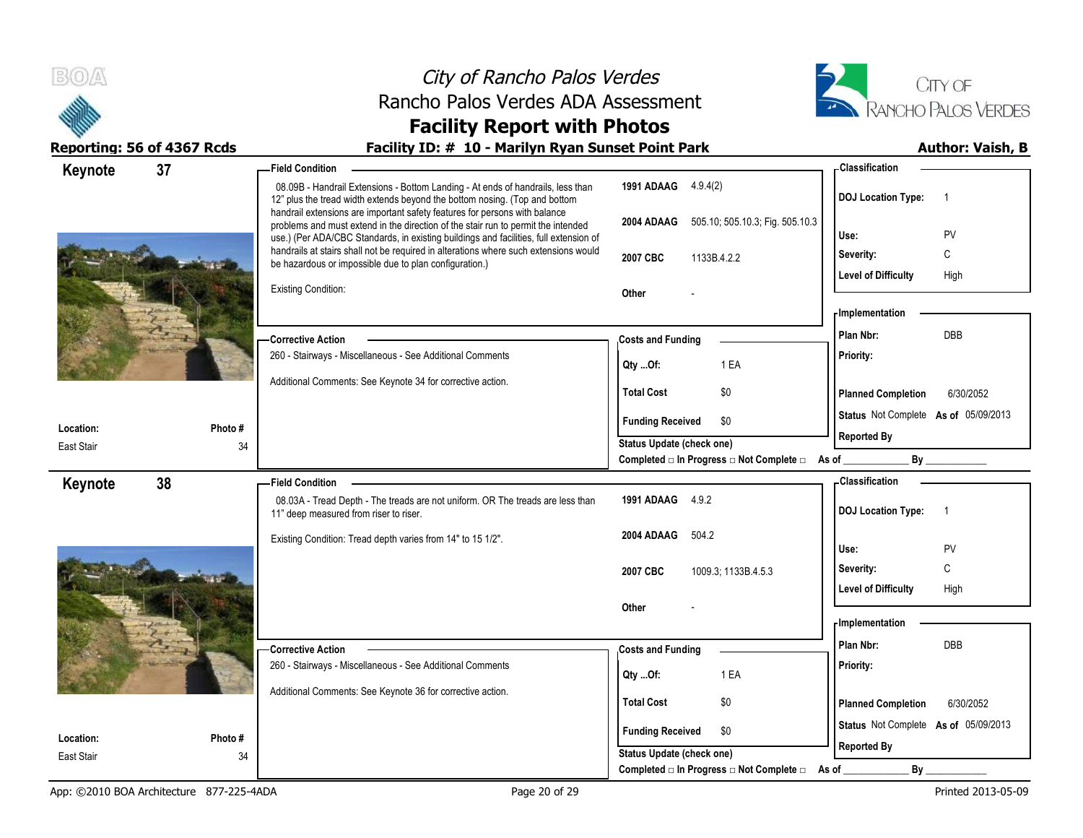



# **Facility Report with Photos**

| Keynote                 | 37            | -Field Condition                                                                                                                                                                                                                                         |                                                   | - Classification                            |
|-------------------------|---------------|----------------------------------------------------------------------------------------------------------------------------------------------------------------------------------------------------------------------------------------------------------|---------------------------------------------------|---------------------------------------------|
|                         |               | 08.09B - Handrail Extensions - Bottom Landing - At ends of handrails, less than<br>12" plus the tread width extends beyond the bottom nosing. (Top and bottom                                                                                            | 1991 ADAAG 4.9.4(2)                               | <b>DOJ Location Type:</b><br>$\overline{1}$ |
|                         |               | handrail extensions are important safety features for persons with balance<br>problems and must extend in the direction of the stair run to permit the intended<br>use.) (Per ADA/CBC Standards, in existing buildings and facilities, full extension of | 2004 ADAAG 505.10; 505.10.3; Fig. 505.10.3        | Use:<br>PV                                  |
|                         |               | handrails at stairs shall not be required in alterations where such extensions would                                                                                                                                                                     | 2007 CBC<br>1133B.4.2.2                           | C<br>Severity:                              |
|                         |               | be hazardous or impossible due to plan configuration.)                                                                                                                                                                                                   |                                                   | <b>Level of Difficulty</b><br>High          |
|                         |               | <b>Existing Condition:</b>                                                                                                                                                                                                                               | Other                                             |                                             |
|                         |               |                                                                                                                                                                                                                                                          |                                                   | - Implementation                            |
|                         |               | - Corrective Action                                                                                                                                                                                                                                      | <b>Costs and Funding</b>                          | DBB<br>Plan Nbr:                            |
|                         |               | 260 - Stairways - Miscellaneous - See Additional Comments                                                                                                                                                                                                | Qty Of:<br>1 EA                                   | Priority:                                   |
|                         |               | Additional Comments: See Keynote 34 for corrective action.                                                                                                                                                                                               | \$0<br><b>Total Cost</b>                          | <b>Planned Completion</b><br>6/30/2052      |
|                         |               |                                                                                                                                                                                                                                                          |                                                   |                                             |
| Location:               | Photo#        |                                                                                                                                                                                                                                                          | <b>Funding Received</b><br>\$0                    | Status Not Complete As of 05/09/2013        |
| East Stair              | 34            |                                                                                                                                                                                                                                                          | <b>Status Update (check one)</b>                  | <b>Reported By</b>                          |
|                         |               |                                                                                                                                                                                                                                                          | Completed □ In Progress □ Not Complete □ As of __ | By<br><b>Classification</b>                 |
| Keynote                 | 38            | <b>Field Condition</b><br>08.03A - Tread Depth - The treads are not uniform. OR The treads are less than                                                                                                                                                 | 1991 ADAAG 4.9.2                                  |                                             |
|                         |               | 11" deep measured from riser to riser.                                                                                                                                                                                                                   |                                                   | <b>DOJ Location Type:</b><br>$\overline{1}$ |
|                         |               | Existing Condition: Tread depth varies from 14" to 15 1/2".                                                                                                                                                                                              | 504.2<br>2004 ADAAG                               |                                             |
|                         |               |                                                                                                                                                                                                                                                          |                                                   | PV<br>Use:                                  |
|                         |               |                                                                                                                                                                                                                                                          | 2007 CBC<br>1009.3; 1133B.4.5.3                   | C<br>Severity:                              |
|                         |               |                                                                                                                                                                                                                                                          | Other                                             | <b>Level of Difficulty</b><br>High          |
|                         |               |                                                                                                                                                                                                                                                          |                                                   | - Implementation                            |
|                         |               |                                                                                                                                                                                                                                                          | <b>Costs and Funding</b>                          | Plan Nbr:<br><b>DBB</b>                     |
|                         |               |                                                                                                                                                                                                                                                          |                                                   |                                             |
|                         |               | - Corrective Action<br>260 - Stairways - Miscellaneous - See Additional Comments                                                                                                                                                                         |                                                   | Priority:                                   |
|                         |               | Additional Comments: See Keynote 36 for corrective action.                                                                                                                                                                                               | Qty Of:<br>1 EA                                   |                                             |
|                         |               |                                                                                                                                                                                                                                                          | <b>Total Cost</b><br>\$0                          | <b>Planned Completion</b><br>6/30/2052      |
|                         |               |                                                                                                                                                                                                                                                          | \$0<br><b>Funding Received</b>                    | Status Not Complete As of 05/09/2013        |
| Location:<br>East Stair | Photo #<br>34 |                                                                                                                                                                                                                                                          | <b>Status Update (check one)</b>                  | <b>Reported By</b>                          |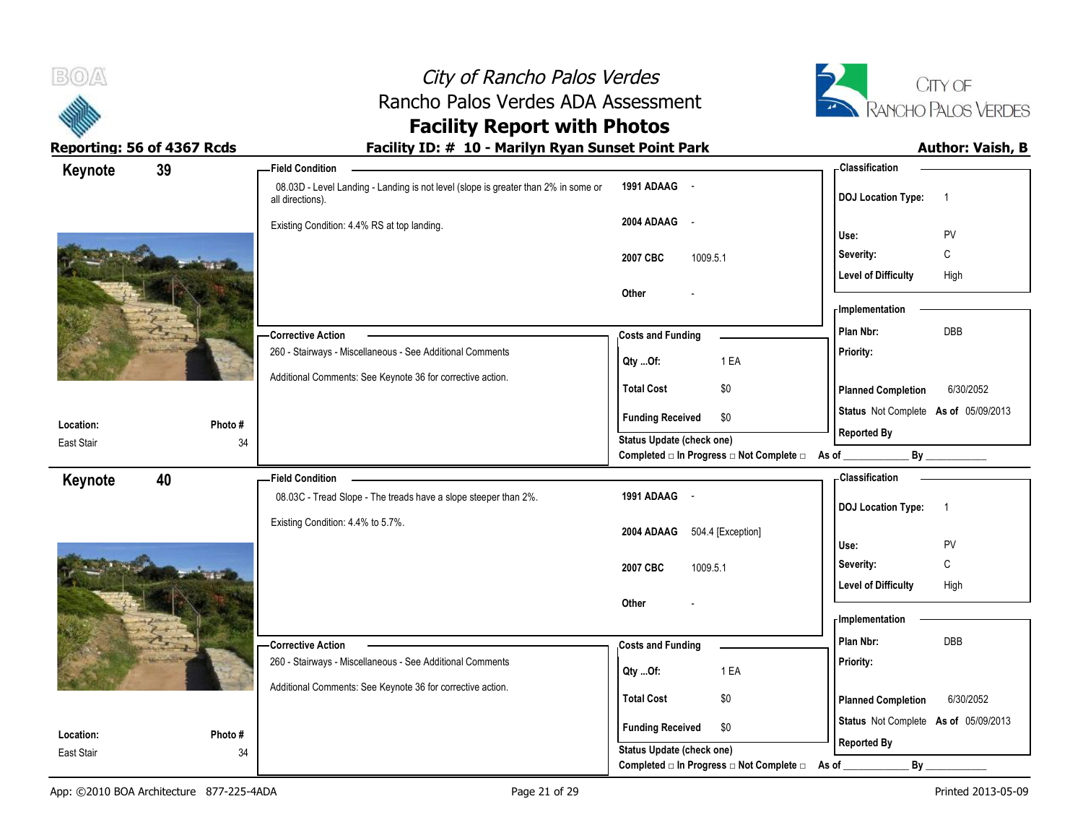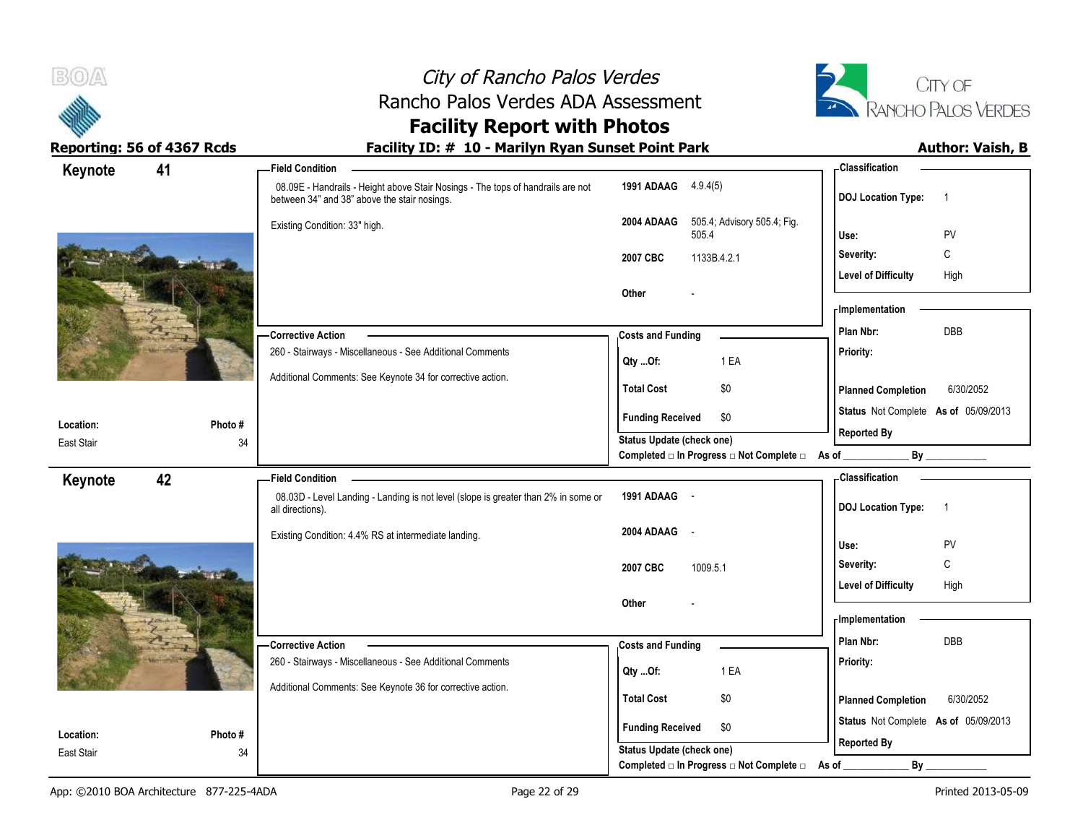



# **Facility Report with Photos**

| Keynote                 | 41           | - Field Condition                                                                                                               |                                                                    | - Classification                                           |
|-------------------------|--------------|---------------------------------------------------------------------------------------------------------------------------------|--------------------------------------------------------------------|------------------------------------------------------------|
|                         |              | 08.09E - Handrails - Height above Stair Nosings - The tops of handrails are not<br>between 34" and 38" above the stair nosings. | 1991 ADAAG 4.9.4(5)                                                | <b>DOJ Location Type:</b><br>$\overline{1}$                |
|                         |              | Existing Condition: 33" high.                                                                                                   | 505.4; Advisory 505.4; Fig.<br>2004 ADAAG<br>505.4                 | Use:<br>PV                                                 |
|                         |              |                                                                                                                                 | 2007 CBC<br>1133B.4.2.1                                            | С<br>Severity:                                             |
|                         |              |                                                                                                                                 |                                                                    | <b>Level of Difficulty</b><br>High                         |
|                         |              |                                                                                                                                 | Other                                                              | - Implementation                                           |
|                         |              | - Corrective Action                                                                                                             | <b>Costs and Funding</b>                                           | Plan Nbr:<br>DBB                                           |
|                         |              | 260 - Stairways - Miscellaneous - See Additional Comments                                                                       | 1 EA<br>Qty Of:                                                    | Priority:                                                  |
|                         |              | Additional Comments: See Keynote 34 for corrective action.                                                                      | <b>Total Cost</b><br>\$0                                           | 6/30/2052<br><b>Planned Completion</b>                     |
|                         |              |                                                                                                                                 | <b>Funding Received</b><br>\$0                                     | Status Not Complete As of 05/09/2013                       |
| Location:<br>East Stair | Photo#<br>34 |                                                                                                                                 | Status Update (check one)                                          | <b>Reported By</b>                                         |
|                         |              |                                                                                                                                 | Completed $\Box$ In Progress $\Box$ Not Complete $\Box$ As of _    | By                                                         |
| Keynote                 | 42           | <b>Field Condition</b>                                                                                                          |                                                                    | <b>Classification</b>                                      |
|                         |              | 08.03D - Level Landing - Landing is not level (slope is greater than 2% in some or<br>all directions).                          | 1991 ADAAG -                                                       | <b>DOJ Location Type:</b><br>$\overline{1}$                |
|                         |              | Existing Condition: 4.4% RS at intermediate landing.                                                                            | 2004 ADAAG<br>$\sim$ $-$                                           | Use:<br>PV                                                 |
|                         |              |                                                                                                                                 |                                                                    | C<br>Severity:                                             |
|                         |              |                                                                                                                                 | 2007 CBC<br>1009.5.1                                               | <b>Level of Difficulty</b><br>High                         |
|                         |              |                                                                                                                                 |                                                                    |                                                            |
|                         |              |                                                                                                                                 | Other                                                              |                                                            |
|                         |              |                                                                                                                                 |                                                                    | <b>Implementation</b>                                      |
|                         |              | - Corrective Action                                                                                                             | <b>Costs and Funding</b>                                           | Plan Nbr:<br>DBB                                           |
|                         |              | 260 - Stairways - Miscellaneous - See Additional Comments                                                                       | 1 EA                                                               | Priority:                                                  |
|                         |              | Additional Comments: See Keynote 36 for corrective action.                                                                      | Qty Of:                                                            |                                                            |
|                         |              |                                                                                                                                 | <b>Total Cost</b><br>\$0                                           | 6/30/2052<br><b>Planned Completion</b>                     |
| Location:               | Photo#       |                                                                                                                                 | <b>Funding Received</b><br>\$0<br><b>Status Update (check one)</b> | Status Not Complete As of 05/09/2013<br><b>Reported By</b> |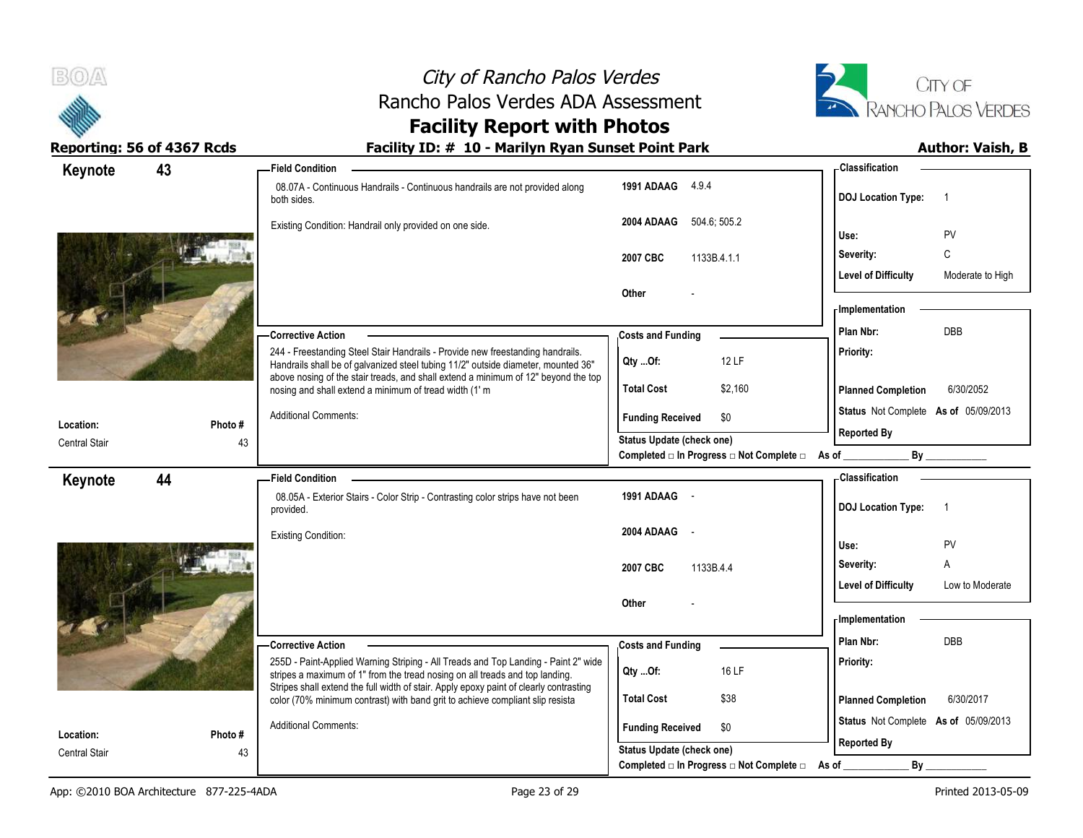



# **Facility Report with Photos**

| Keynote                           | 43            | <b>Field Condition</b>                                                                                                                                                                                                                                    |                                                   | Classification                                 |
|-----------------------------------|---------------|-----------------------------------------------------------------------------------------------------------------------------------------------------------------------------------------------------------------------------------------------------------|---------------------------------------------------|------------------------------------------------|
|                                   |               | 08.07A - Continuous Handrails - Continuous handrails are not provided along<br>both sides.                                                                                                                                                                | 1991 ADAAG 4.9.4                                  | <b>DOJ</b> Location Type:<br>-1                |
|                                   |               | Existing Condition: Handrail only provided on one side.                                                                                                                                                                                                   | 504.6, 505.2<br>2004 ADAAG                        | PV<br>Use:                                     |
|                                   |               |                                                                                                                                                                                                                                                           | 1133B.4.1.1<br>2007 CBC                           | C<br>Severity:                                 |
|                                   |               |                                                                                                                                                                                                                                                           |                                                   | <b>Level of Difficulty</b><br>Moderate to High |
|                                   |               |                                                                                                                                                                                                                                                           | Other                                             |                                                |
|                                   |               |                                                                                                                                                                                                                                                           |                                                   | - Implementation                               |
|                                   |               | <b>Corrective Action</b>                                                                                                                                                                                                                                  | <b>Costs and Funding</b>                          | DBB<br>Plan Nbr:                               |
|                                   |               | 244 - Freestanding Steel Stair Handrails - Provide new freestanding handrails.<br>Handrails shall be of galvanized steel tubing 11/2" outside diameter, mounted 36"<br>above nosing of the stair treads, and shall extend a minimum of 12" beyond the top | 12 LF<br>$Qty$ Of:                                | Priority:                                      |
|                                   |               | nosing and shall extend a minimum of tread width (1' m                                                                                                                                                                                                    | <b>Total Cost</b><br>\$2,160                      | 6/30/2052<br><b>Planned Completion</b>         |
|                                   |               | <b>Additional Comments:</b>                                                                                                                                                                                                                               | <b>Funding Received</b><br>\$0                    | Status Not Complete As of 05/09/2013           |
| Location:<br><b>Central Stair</b> | Photo #<br>43 |                                                                                                                                                                                                                                                           | Status Update (check one)                         | <b>Reported By</b>                             |
|                                   |               |                                                                                                                                                                                                                                                           | Completed □ In Progress □ Not Complete □ As of __ | By _____________                               |
| Keynote                           | 44            | <b>Field Condition</b>                                                                                                                                                                                                                                    |                                                   | - Classification                               |
|                                   |               | 08.05A - Exterior Stairs - Color Strip - Contrasting color strips have not been<br>provided.                                                                                                                                                              | 1991 ADAAG -                                      | <b>DOJ</b> Location Type:<br>-1                |
|                                   |               | <b>Existing Condition:</b>                                                                                                                                                                                                                                | 2004 ADAAG -                                      |                                                |
|                                   |               |                                                                                                                                                                                                                                                           |                                                   | PV<br>Use:<br>$\mathsf{A}$<br>Severity:        |
|                                   |               |                                                                                                                                                                                                                                                           | 1133B.4.4<br>2007 CBC                             | <b>Level of Difficulty</b><br>Low to Moderate  |
|                                   |               |                                                                                                                                                                                                                                                           | Other                                             |                                                |
|                                   |               |                                                                                                                                                                                                                                                           |                                                   | <b>Implementation</b>                          |
|                                   |               | - Corrective Action                                                                                                                                                                                                                                       | <b>Costs and Funding</b>                          | <b>DBB</b><br>Plan Nbr:                        |
|                                   |               | 255D - Paint-Applied Warning Striping - All Treads and Top Landing - Paint 2" wide<br>stripes a maximum of 1" from the tread nosing on all treads and top landing.                                                                                        | 16 LF<br>Qty Of:                                  | Priority:                                      |
|                                   |               | Stripes shall extend the full width of stair. Apply epoxy paint of clearly contrasting<br>color (70% minimum contrast) with band grit to achieve compliant slip resista                                                                                   | <b>Total Cost</b><br>\$38                         | <b>Planned Completion</b><br>6/30/2017         |
| Location:                         | Photo #       | <b>Additional Comments:</b>                                                                                                                                                                                                                               | <b>Funding Received</b><br>\$0                    | Status Not Complete As of 05/09/2013           |
| <b>Central Stair</b>              | 43            |                                                                                                                                                                                                                                                           | <b>Status Update (check one)</b>                  | <b>Reported By</b>                             |
|                                   |               |                                                                                                                                                                                                                                                           | Completed □ In Progress □ Not Complete □ As of    | By                                             |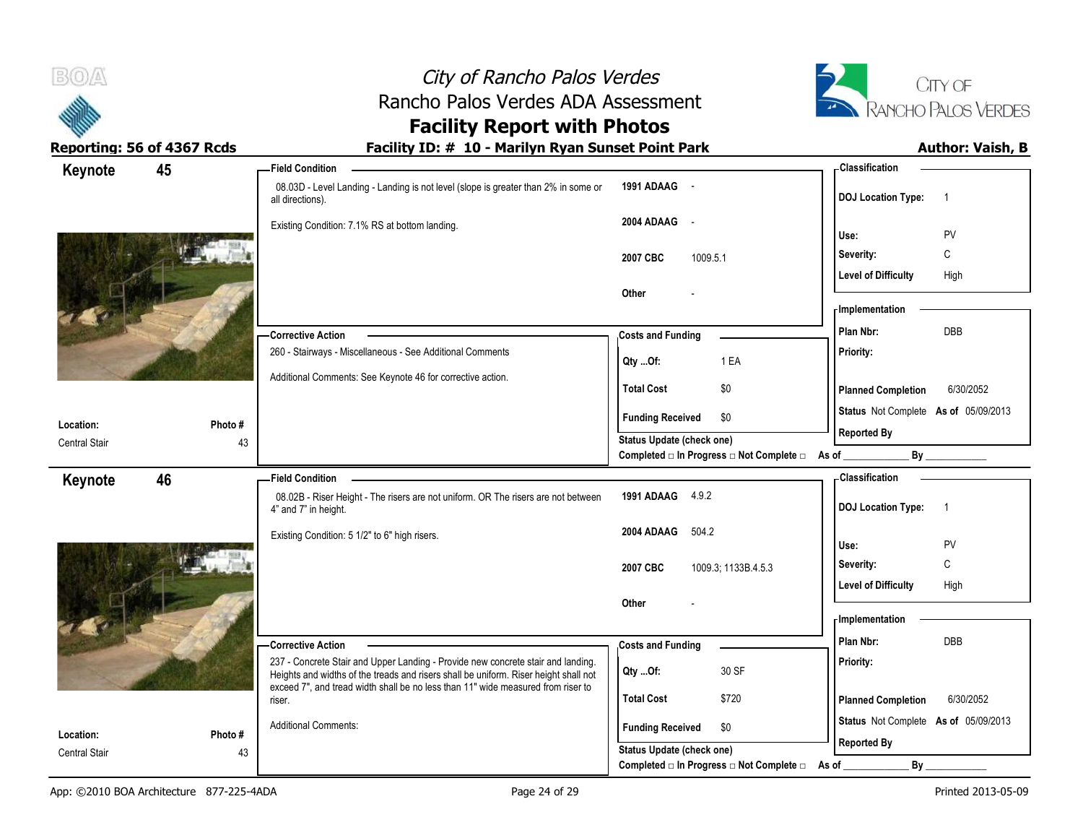| B(0)                       | City of Rancho Palos Verdes                                                                                                                                                                     |                                                                                  |                                               | CITY OF                 |
|----------------------------|-------------------------------------------------------------------------------------------------------------------------------------------------------------------------------------------------|----------------------------------------------------------------------------------|-----------------------------------------------|-------------------------|
|                            | Rancho Palos Verdes ADA Assessment                                                                                                                                                              |                                                                                  | <b>RANCHO PALOS VERDES</b>                    |                         |
|                            | <b>Facility Report with Photos</b>                                                                                                                                                              |                                                                                  |                                               |                         |
| Reporting: 56 of 4367 Rcds | Facility ID: # 10 - Marilyn Ryan Sunset Point Park                                                                                                                                              |                                                                                  |                                               | <b>Author: Vaish, B</b> |
| 45<br>Keynote              | <b>Field Condition</b><br>08.03D - Level Landing - Landing is not level (slope is greater than 2% in some or<br>all directions).                                                                | 1991 ADAAG -                                                                     | <b>Classification</b><br>DOJ Location Type: 1 |                         |
|                            | Existing Condition: 7.1% RS at bottom landing.                                                                                                                                                  | 2004 ADAAG -                                                                     | Use:                                          | <b>PV</b>               |
|                            |                                                                                                                                                                                                 | 1009.5.1<br>2007 CBC                                                             | Severity:                                     | C                       |
|                            |                                                                                                                                                                                                 |                                                                                  | <b>Level of Difficulty</b>                    | High                    |
|                            |                                                                                                                                                                                                 | Other                                                                            | <b>Implementation</b>                         |                         |
|                            | - Corrective Action                                                                                                                                                                             | <b>Costs and Funding</b>                                                         | Plan Nbr:                                     | DBB                     |
|                            | 260 - Stairways - Miscellaneous - See Additional Comments                                                                                                                                       | 1 EA<br>Qty Of:                                                                  | <b>Priority:</b>                              |                         |
|                            | Additional Comments: See Keynote 46 for corrective action.                                                                                                                                      | \$0<br><b>Total Cost</b>                                                         | <b>Planned Completion</b>                     | 6/30/2052               |
| Location:<br>Photo #       |                                                                                                                                                                                                 | <b>Funding Received</b><br>- \$0                                                 | Status Not Complete As of 05/09/2013          |                         |
| <b>Central Stair</b>       | 43                                                                                                                                                                                              | <b>Status Update (check one)</b><br>Completed an Progress and Complete and As of | <b>Reported By</b><br>$By$ <sub>--</sub>      |                         |
| 46<br>Keynote              | <b>Field Condition</b>                                                                                                                                                                          |                                                                                  | <b>Classification</b>                         |                         |
|                            | 08.02B - Riser Height - The risers are not uniform. OR The risers are not between<br>4" and 7" in height.                                                                                       | 1991 ADAAG 4.9.2                                                                 | DOJ Location Type: 1                          |                         |
|                            | Existing Condition: 5 1/2" to 6" high risers.                                                                                                                                                   | 504.2<br>2004 ADAAG                                                              | Use:                                          | PV                      |
|                            |                                                                                                                                                                                                 | 2007 CBC<br>1009.3, 1133B.4.5.3                                                  | Severity:                                     | C                       |
|                            |                                                                                                                                                                                                 |                                                                                  | <b>Level of Difficulty</b>                    | High                    |
|                            |                                                                                                                                                                                                 | Other                                                                            | <b>Implementation</b>                         |                         |
|                            |                                                                                                                                                                                                 |                                                                                  | Plan Nbr:                                     | DBB                     |
|                            | – Corrective Action<br>237 - Concrete Stair and Upper Landing - Provide new concrete stair and landing.<br>Heights and widths of the treads and risers shall be uniform. Riser height shall not | <b>Costs and Funding</b><br>30 SF<br>Qty Of:                                     | <b>Priority:</b>                              |                         |
|                            | exceed 7", and tread width shall be no less than 11" wide measured from riser to<br>riser.                                                                                                      | \$720<br><b>Total Cost</b>                                                       | <b>Planned Completion</b>                     | 6/30/2052               |
| Photo#<br>Location:        | <b>Additional Comments:</b>                                                                                                                                                                     | \$0<br><b>Funding Received</b>                                                   | Status Not Complete As of 05/09/2013          |                         |
| <b>Central Stair</b>       | 43                                                                                                                                                                                              | Status Update (check one)                                                        | <b>Reported By</b>                            |                         |
|                            |                                                                                                                                                                                                 | Completed a In Progress and Complete and As of                                   | $By_$                                         |                         |

÷.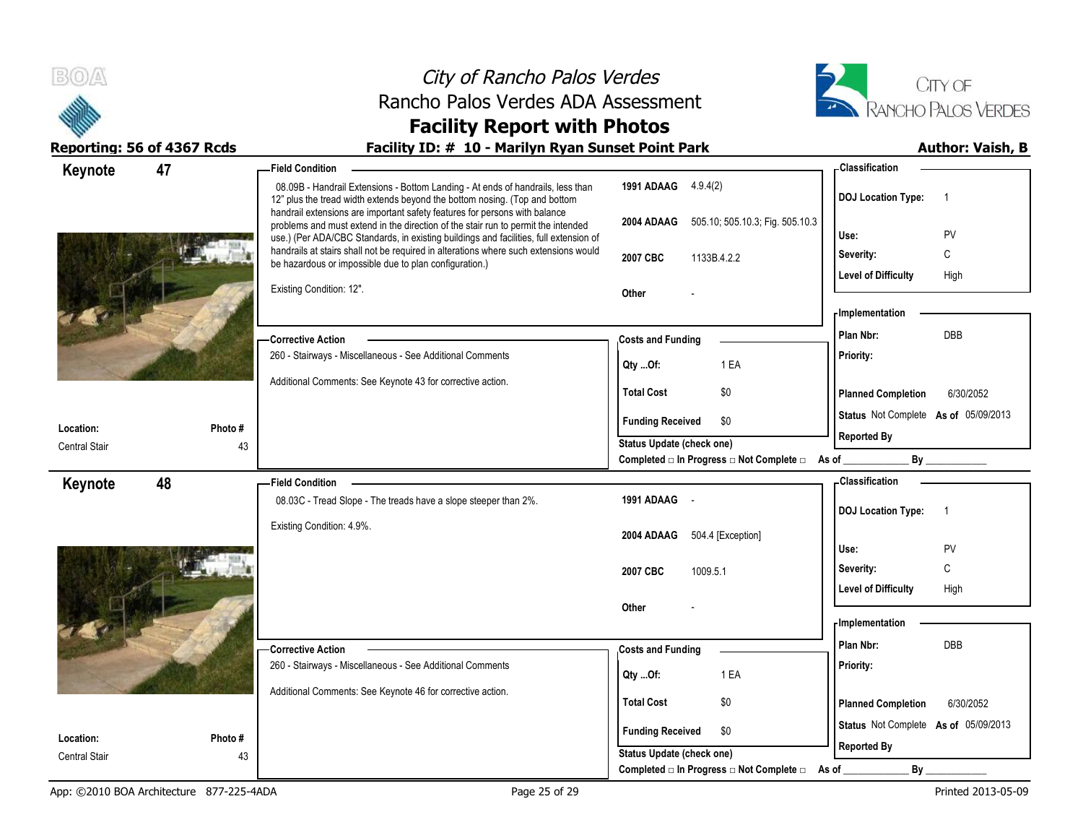



# **Facility Report with Photos**

| - Classification                                                                               |
|------------------------------------------------------------------------------------------------|
| 1991 ADAAG 4.9.4(2)<br><b>DOJ Location Type:</b><br>$\overline{1}$                             |
| 2004 ADAAG 505.10; 505.10.3; Fig. 505.10.3<br>Use:<br>PV                                       |
| C<br>Severity:<br>1133B.4.2.2                                                                  |
| High<br><b>Level of Difficulty</b>                                                             |
|                                                                                                |
| - Implementation                                                                               |
| Plan Nbr:<br><b>DBB</b>                                                                        |
| Priority:<br>1 EA                                                                              |
| \$0<br><b>Planned Completion</b><br>6/30/2052                                                  |
| Status Not Complete As of 05/09/2013<br>\$0                                                    |
| <b>Reported By</b><br>Status Update (check one)                                                |
| By<br>Completed □ In Progress □ Not Complete □ As of ________                                  |
| - Classification                                                                               |
| <b>DOJ Location Type:</b><br>$\overline{1}$                                                    |
|                                                                                                |
| 504.4 [Exception]<br>Use:<br><b>PV</b>                                                         |
| С<br>Severity:<br>1009.5.1                                                                     |
| <b>Level of Difficulty</b><br>High                                                             |
|                                                                                                |
| - Implementation<br>Plan Nbr:<br><b>DBB</b>                                                    |
|                                                                                                |
|                                                                                                |
| Priority:<br>1 EA                                                                              |
|                                                                                                |
| \$0<br><b>Planned Completion</b><br>6/30/2052                                                  |
| Status Not Complete As of 05/09/2013<br>\$0<br><b>Reported By</b><br>Status Update (check one) |
|                                                                                                |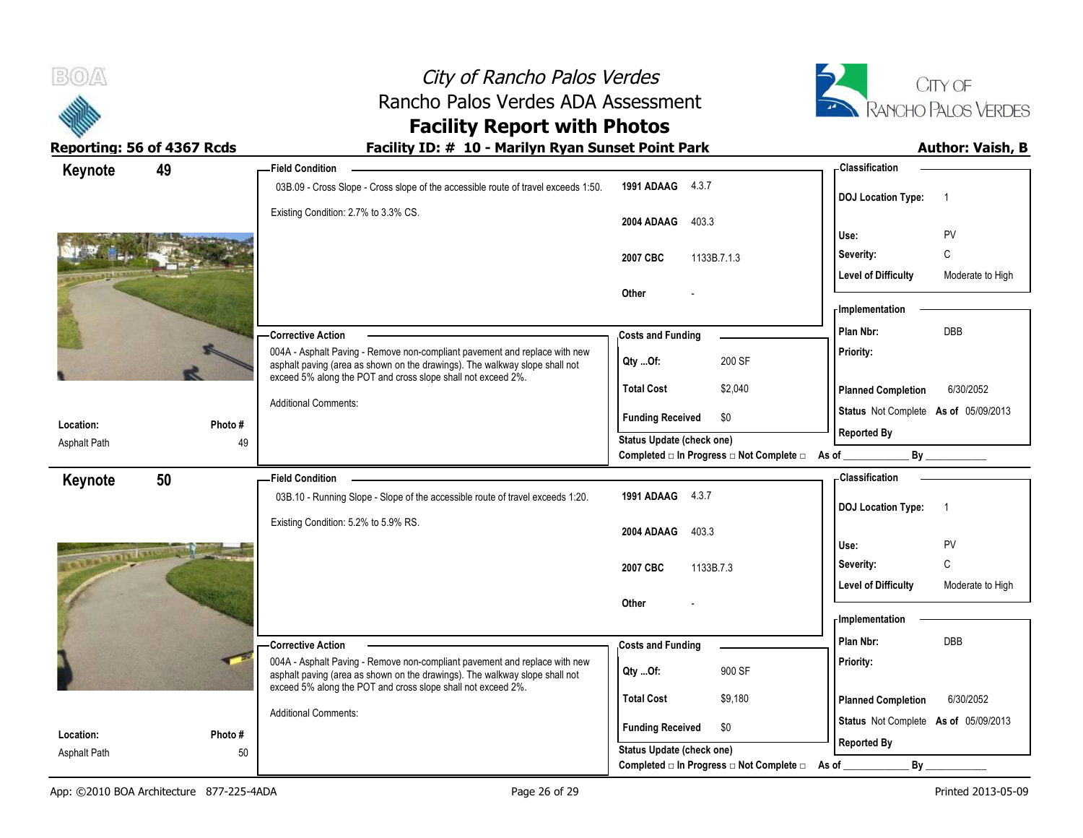



# **Facility Report with Photos**

| Keynote        | 49      | <b>Field Condition</b>                                                                                                                                                                                                    |                                                                                    | <b>Classification</b>                                      |
|----------------|---------|---------------------------------------------------------------------------------------------------------------------------------------------------------------------------------------------------------------------------|------------------------------------------------------------------------------------|------------------------------------------------------------|
|                |         | 03B.09 - Cross Slope - Cross slope of the accessible route of travel exceeds 1:50.                                                                                                                                        | 1991 ADAAG 4.3.7                                                                   | <b>DOJ</b> Location Type:<br>$\overline{1}$                |
|                |         | Existing Condition: 2.7% to 3.3% CS.                                                                                                                                                                                      | 403.3<br>2004 ADAAG                                                                | PV<br>Use:                                                 |
|                |         |                                                                                                                                                                                                                           | 1133B.7.1.3<br>2007 CBC                                                            | C<br>Severity:                                             |
|                |         |                                                                                                                                                                                                                           |                                                                                    | <b>Level of Difficulty</b><br>Moderate to High             |
|                |         |                                                                                                                                                                                                                           | Other                                                                              |                                                            |
|                |         |                                                                                                                                                                                                                           |                                                                                    | - Implementation                                           |
|                |         | - Corrective Action                                                                                                                                                                                                       | <b>Costs and Funding</b>                                                           | <b>DBB</b><br>Plan Nbr:                                    |
|                |         | 004A - Asphalt Paving - Remove non-compliant pavement and replace with new<br>asphalt paving (area as shown on the drawings). The walkway slope shall not<br>exceed 5% along the POT and cross slope shall not exceed 2%. | 200 SF<br>Qty Of:                                                                  | Priority:                                                  |
|                |         |                                                                                                                                                                                                                           | <b>Total Cost</b><br>\$2,040                                                       | 6/30/2052<br><b>Planned Completion</b>                     |
| Location:      | Photo # | <b>Additional Comments:</b>                                                                                                                                                                                               | \$0<br><b>Funding Received</b>                                                     | Status Not Complete As of 05/09/2013<br><b>Reported By</b> |
| Asphalt Path   | 49      |                                                                                                                                                                                                                           | <b>Status Update (check one)</b><br>Completed □ In Progress □ Not Complete □ As of | $\mathsf{By}$                                              |
|                |         |                                                                                                                                                                                                                           |                                                                                    | <b>Classification</b>                                      |
| Keynote        | 50      | <b>Field Condition</b><br>03B.10 - Running Slope - Slope of the accessible route of travel exceeds 1:20.                                                                                                                  | 1991 ADAAG 4.3.7                                                                   |                                                            |
|                |         |                                                                                                                                                                                                                           |                                                                                    | <b>DOJ</b> Location Type:<br>$\overline{1}$                |
|                |         | Existing Condition: 5.2% to 5.9% RS.                                                                                                                                                                                      | 2004 ADAAG<br>403.3                                                                |                                                            |
| <b>STELLEN</b> |         |                                                                                                                                                                                                                           |                                                                                    | Use:<br><b>PV</b>                                          |
|                |         |                                                                                                                                                                                                                           | 2007 CBC<br>1133B.7.3                                                              | C<br>Severity:                                             |
|                |         |                                                                                                                                                                                                                           |                                                                                    | <b>Level of Difficulty</b><br>Moderate to High             |
|                |         |                                                                                                                                                                                                                           | Other                                                                              | - Implementation                                           |
|                |         |                                                                                                                                                                                                                           |                                                                                    | Plan Nbr:<br><b>DBB</b>                                    |
|                |         | - Corrective Action<br>004A - Asphalt Paving - Remove non-compliant pavement and replace with new                                                                                                                         | <b>Costs and Funding</b>                                                           | Priority:                                                  |
|                |         | asphalt paving (area as shown on the drawings). The walkway slope shall not<br>exceed 5% along the POT and cross slope shall not exceed 2%.                                                                               | 900 SF<br>Qty Of:                                                                  |                                                            |
|                |         | <b>Additional Comments:</b>                                                                                                                                                                                               | <b>Total Cost</b><br>\$9,180                                                       | <b>Planned Completion</b><br>6/30/2052                     |
|                |         |                                                                                                                                                                                                                           |                                                                                    | Status Not Complete As of 05/09/2013                       |
| Location:      | Photo#  |                                                                                                                                                                                                                           | <b>Funding Received</b><br>\$0                                                     |                                                            |
| Asphalt Path   | 50      |                                                                                                                                                                                                                           | Status Update (check one)<br>Completed □ In Progress □ Not Complete □ As of        | <b>Reported By</b><br>By                                   |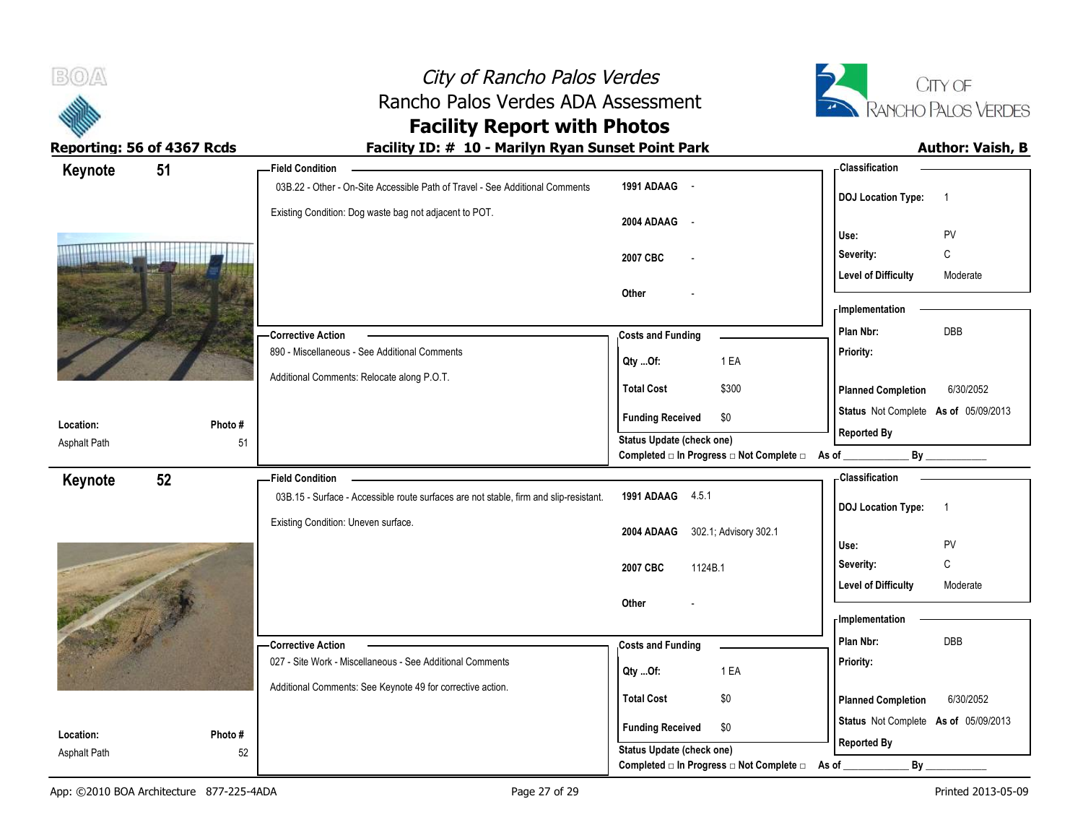



# **Facility Report with Photos**

| Keynote                   | 51           | <b>Field Condition</b>                                                                |                                                | <b>Classification</b>                       |
|---------------------------|--------------|---------------------------------------------------------------------------------------|------------------------------------------------|---------------------------------------------|
|                           |              | 03B.22 - Other - On-Site Accessible Path of Travel - See Additional Comments          | 1991 ADAAG -                                   | <b>DOJ Location Type:</b><br>$\overline{1}$ |
|                           |              | Existing Condition: Dog waste bag not adjacent to POT.                                | 2004 ADAAG -                                   | Use:<br>PV                                  |
|                           |              |                                                                                       | 2007 CBC                                       | $\mathbb C$<br>Severity:                    |
|                           |              |                                                                                       |                                                | <b>Level of Difficulty</b><br>Moderate      |
|                           |              |                                                                                       | Other                                          | - Implementation                            |
|                           |              | - Corrective Action                                                                   | <b>Costs and Funding</b>                       | DBB<br>Plan Nbr:                            |
|                           |              | 890 - Miscellaneous - See Additional Comments                                         | 1 EA<br>Qty Of:                                | Priority:                                   |
|                           |              | Additional Comments: Relocate along P.O.T.                                            | <b>Total Cost</b><br>\$300                     | 6/30/2052<br><b>Planned Completion</b>      |
|                           |              |                                                                                       | <b>Funding Received</b><br>\$0                 | Status Not Complete As of 05/09/2013        |
| Location:<br>Asphalt Path | Photo#<br>51 |                                                                                       | <b>Status Update (check one)</b>               | <b>Reported By</b>                          |
|                           |              |                                                                                       | Completed a In Progress a Not Complete a As of |                                             |
| Keynote                   | 52           | <b>Field Condition</b>                                                                |                                                | - Classification                            |
|                           |              | 03B.15 - Surface - Accessible route surfaces are not stable, firm and slip-resistant. | 1991 ADAAG 4.5.1                               | <b>DOJ Location Type:</b><br>$\overline{1}$ |
|                           |              | Existing Condition: Uneven surface.                                                   | 302.1; Advisory 302.1<br>2004 ADAAG            | PV<br>Use:                                  |
|                           |              |                                                                                       |                                                | C<br>Severity:                              |
|                           |              |                                                                                       | 1124B.1<br>2007 CBC                            | <b>Level of Difficulty</b><br>Moderate      |
|                           |              |                                                                                       | Other                                          |                                             |
|                           |              |                                                                                       |                                                | - Implementation                            |
|                           |              | - Corrective Action                                                                   | <b>Costs and Funding</b>                       | Plan Nbr:<br><b>DBB</b>                     |
|                           |              | 027 - Site Work - Miscellaneous - See Additional Comments                             | 1 EA<br>Qty Of:                                | Priority:                                   |
|                           |              | Additional Comments: See Keynote 49 for corrective action.                            | <b>Total Cost</b><br>\$0                       | <b>Planned Completion</b><br>6/30/2052      |
| Location:                 | Photo#       |                                                                                       | <b>Funding Received</b><br>\$0                 | Status Not Complete As of 05/09/2013        |
| <b>Asphalt Path</b>       | 52           |                                                                                       | Status Update (check one)                      | <b>Reported By</b>                          |
|                           |              |                                                                                       | Completed □ In Progress □ Not Complete □       | By<br>As of                                 |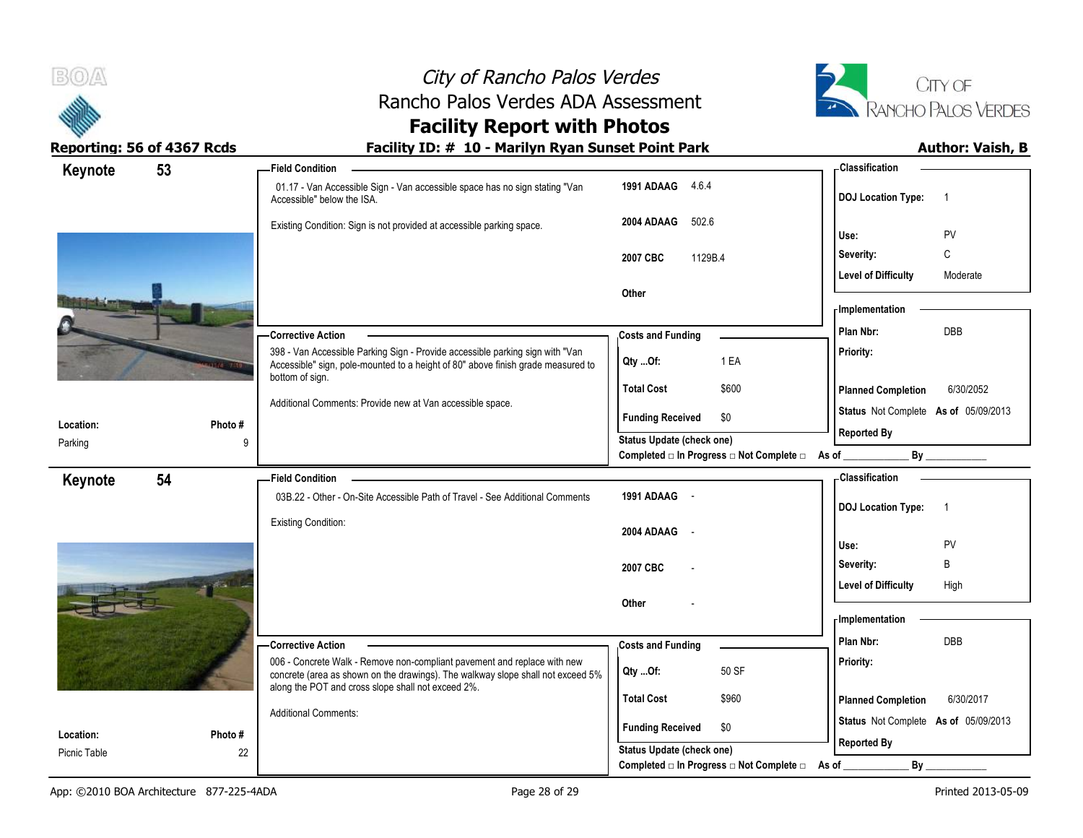



# **Facility Report with Photos**

| Keynote      | 53 |         | - Field Condition                                                                                                                                                 |                                                                                      | - Classification                            |
|--------------|----|---------|-------------------------------------------------------------------------------------------------------------------------------------------------------------------|--------------------------------------------------------------------------------------|---------------------------------------------|
|              |    |         | 01.17 - Van Accessible Sign - Van accessible space has no sign stating "Van<br>Accessible" below the ISA.                                                         | 1991 ADAAG<br>4.6.4                                                                  | <b>DOJ Location Type:</b><br>$\overline{1}$ |
|              |    |         | Existing Condition: Sign is not provided at accessible parking space.                                                                                             | 502.6<br>2004 ADAAG                                                                  | PV<br>Use:                                  |
|              |    |         |                                                                                                                                                                   | 2007 CBC<br>1129B.4                                                                  | C<br>Severity:                              |
|              |    |         |                                                                                                                                                                   |                                                                                      | <b>Level of Difficulty</b><br>Moderate      |
|              |    |         |                                                                                                                                                                   | Other                                                                                |                                             |
|              |    |         |                                                                                                                                                                   |                                                                                      | <b>Implementation</b>                       |
|              |    |         | - Corrective Action                                                                                                                                               | <b>Costs and Funding</b>                                                             | Plan Nbr:<br>DBB                            |
|              |    |         | 398 - Van Accessible Parking Sign - Provide accessible parking sign with "Van<br>Accessible" sign, pole-mounted to a height of 80" above finish grade measured to | 1 EA<br>QtyOf:                                                                       | Priority:                                   |
|              |    |         | bottom of sign.                                                                                                                                                   | <b>Total Cost</b><br>\$600                                                           | 6/30/2052<br><b>Planned Completion</b>      |
|              |    |         | Additional Comments: Provide new at Van accessible space.                                                                                                         | \$0                                                                                  | Status Not Complete As of 05/09/2013        |
| Location:    |    | Photo#  |                                                                                                                                                                   | <b>Funding Received</b>                                                              | <b>Reported By</b>                          |
| Parking      |    | 9       |                                                                                                                                                                   | <b>Status Update (check one)</b><br>Completed □ In Progress □ Not Complete □ As of _ |                                             |
| Keynote      | 54 |         | <b>Field Condition</b>                                                                                                                                            |                                                                                      | <b>Classification</b>                       |
|              |    |         | 03B.22 - Other - On-Site Accessible Path of Travel - See Additional Comments                                                                                      | 1991 ADAAG -                                                                         |                                             |
|              |    |         | <b>Existing Condition:</b>                                                                                                                                        |                                                                                      | <b>DOJ Location Type:</b><br>$\overline{1}$ |
|              |    |         |                                                                                                                                                                   | 2004 ADAAG<br>$\sim$ $\sim$                                                          | Use:<br>PV                                  |
|              |    |         |                                                                                                                                                                   |                                                                                      | B<br>Severity:                              |
|              |    |         |                                                                                                                                                                   | 2007 CBC                                                                             | <b>Level of Difficulty</b><br>High          |
|              |    |         |                                                                                                                                                                   | Other                                                                                |                                             |
|              |    |         |                                                                                                                                                                   |                                                                                      | - Implementation                            |
|              |    |         | -Corrective Action                                                                                                                                                | <b>Costs and Funding</b>                                                             | Plan Nbr:<br><b>DBB</b>                     |
|              |    |         | 006 - Concrete Walk - Remove non-compliant pavement and replace with new<br>concrete (area as shown on the drawings). The walkway slope shall not exceed 5%       | 50 SF<br>Qty Of:                                                                     | Priority:                                   |
|              |    |         | along the POT and cross slope shall not exceed 2%.                                                                                                                | <b>Total Cost</b><br>\$960                                                           | <b>Planned Completion</b><br>6/30/2017      |
|              |    |         | <b>Additional Comments:</b>                                                                                                                                       | <b>Funding Received</b><br>\$0                                                       | Status Not Complete As of 05/09/2013        |
| Location:    |    | Photo # |                                                                                                                                                                   | <b>Status Update (check one)</b>                                                     | <b>Reported By</b>                          |
| Picnic Table |    | 22      |                                                                                                                                                                   | Completed □ In Progress □ Not Complete □                                             | By<br>As of                                 |